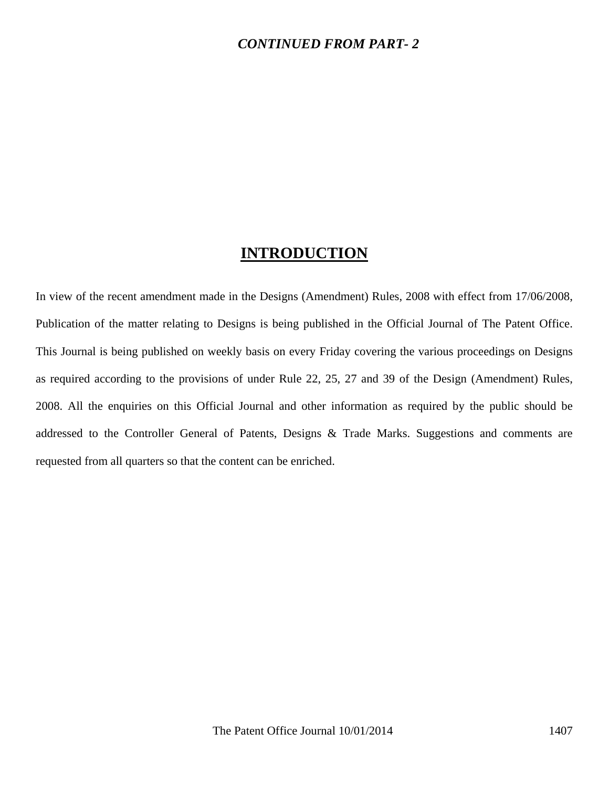#### *CONTINUED FROM PART- 2*

## **INTRODUCTION**

In view of the recent amendment made in the Designs (Amendment) Rules, 2008 with effect from 17/06/2008, Publication of the matter relating to Designs is being published in the Official Journal of The Patent Office. This Journal is being published on weekly basis on every Friday covering the various proceedings on Designs as required according to the provisions of under Rule 22, 25, 27 and 39 of the Design (Amendment) Rules, 2008. All the enquiries on this Official Journal and other information as required by the public should be addressed to the Controller General of Patents, Designs & Trade Marks. Suggestions and comments are requested from all quarters so that the content can be enriched.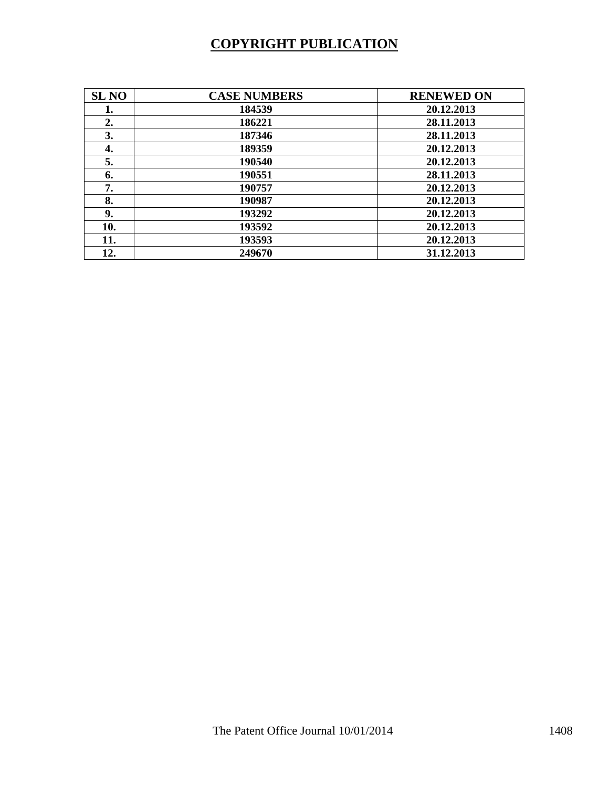# **COPYRIGHT PUBLICATION**

| <b>SL NO</b> | <b>CASE NUMBERS</b> | <b>RENEWED ON</b> |
|--------------|---------------------|-------------------|
| 1.           | 184539              | 20.12.2013        |
| 2.           | 186221              | 28.11.2013        |
| 3.           | 187346              | 28.11.2013        |
| 4.           | 189359              | 20.12.2013        |
| 5.           | 190540              | 20.12.2013        |
| 6.           | 190551              | 28.11.2013        |
| 7.           | 190757              | 20.12.2013        |
| 8.           | 190987              | 20.12.2013        |
| 9.           | 193292              | 20.12.2013        |
| 10.          | 193592              | 20.12.2013        |
| 11.          | 193593              | 20.12.2013        |
| 12.          | 249670              | 31.12.2013        |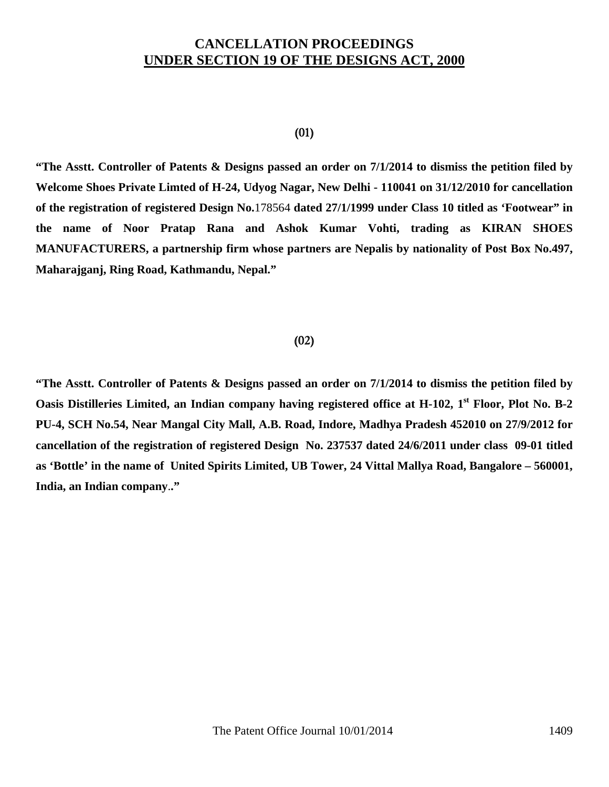## **CANCELLATION PROCEEDINGS UNDER SECTION 19 OF THE DESIGNS ACT, 2000**

#### (01)

**"The Asstt. Controller of Patents & Designs passed an order on 7/1/2014 to dismiss the petition filed by Welcome Shoes Private Limted of H-24, Udyog Nagar, New Delhi - 110041 on 31/12/2010 for cancellation of the registration of registered Design No.**178564 **dated 27/1/1999 under Class 10 titled as 'Footwear" in the name of Noor Pratap Rana and Ashok Kumar Vohti, trading as KIRAN SHOES MANUFACTURERS, a partnership firm whose partners are Nepalis by nationality of Post Box No.497, Maharajganj, Ring Road, Kathmandu, Nepal."** 

## (02)

**"The Asstt. Controller of Patents & Designs passed an order on 7/1/2014 to dismiss the petition filed by Oasis Distilleries Limited, an Indian company having registered office at H-102, 1<sup>st</sup> Floor, Plot No. B-2 PU-4, SCH No.54, Near Mangal City Mall, A.B. Road, Indore, Madhya Pradesh 452010 on 27/9/2012 for cancellation of the registration of registered Design No. 237537 dated 24/6/2011 under class 09-01 titled as 'Bottle' in the name of United Spirits Limited, UB Tower, 24 Vittal Mallya Road, Bangalore – 560001, India, an Indian company**.**."**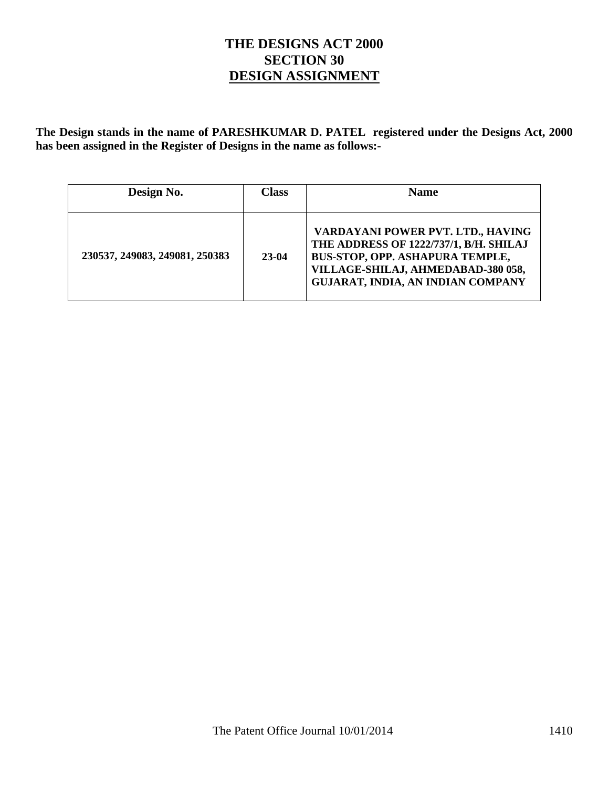## **THE DESIGNS ACT 2000 SECTION 30 DESIGN ASSIGNMENT**

**The Design stands in the name of PARESHKUMAR D. PATEL registered under the Designs Act, 2000 has been assigned in the Register of Designs in the name as follows:-** 

| Design No.                     | <b>Class</b> | <b>Name</b>                                                                                                                                                                                      |  |  |
|--------------------------------|--------------|--------------------------------------------------------------------------------------------------------------------------------------------------------------------------------------------------|--|--|
| 230537, 249083, 249081, 250383 | 23-04        | VARDAYANI POWER PVT. LTD., HAVING<br>THE ADDRESS OF 1222/737/1, B/H. SHILAJ<br>BUS-STOP, OPP. ASHAPURA TEMPLE,<br>VILLAGE-SHILAJ, AHMEDABAD-380 058,<br><b>GUJARAT, INDIA, AN INDIAN COMPANY</b> |  |  |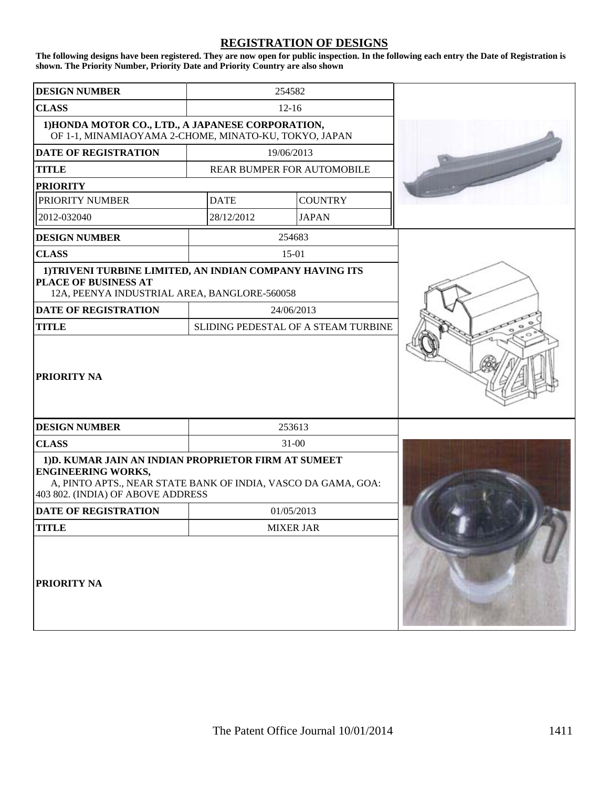#### **REGISTRATION OF DESIGNS**

**The following designs have been registered. They are now open for public inspection. In the following each entry the Date of Registration is shown. The Priority Number, Priority Date and Priority Country are also shown**

| <b>DESIGN NUMBER</b>                                                                                                                                                                    |             | 254582                              |  |
|-----------------------------------------------------------------------------------------------------------------------------------------------------------------------------------------|-------------|-------------------------------------|--|
| <b>CLASS</b>                                                                                                                                                                            |             | $12 - 16$                           |  |
| 1) HONDA MOTOR CO., LTD., A JAPANESE CORPORATION,<br>OF 1-1, MINAMIAOYAMA 2-CHOME, MINATO-KU, TOKYO, JAPAN                                                                              |             |                                     |  |
| <b>DATE OF REGISTRATION</b>                                                                                                                                                             |             | 19/06/2013                          |  |
| <b>TITLE</b>                                                                                                                                                                            |             | REAR BUMPER FOR AUTOMOBILE          |  |
| <b>PRIORITY</b>                                                                                                                                                                         |             |                                     |  |
| PRIORITY NUMBER                                                                                                                                                                         | <b>DATE</b> | <b>COUNTRY</b>                      |  |
| 2012-032040                                                                                                                                                                             | 28/12/2012  | <b>JAPAN</b>                        |  |
| <b>DESIGN NUMBER</b>                                                                                                                                                                    |             | 254683                              |  |
| <b>CLASS</b>                                                                                                                                                                            |             | 15-01                               |  |
| 1) TRIVENI TURBINE LIMITED, AN INDIAN COMPANY HAVING ITS<br>PLACE OF BUSINESS AT<br>12A, PEENYA INDUSTRIAL AREA, BANGLORE-560058                                                        |             |                                     |  |
| <b>DATE OF REGISTRATION</b>                                                                                                                                                             |             | 24/06/2013                          |  |
| <b>TITLE</b>                                                                                                                                                                            |             | SLIDING PEDESTAL OF A STEAM TURBINE |  |
| <b>PRIORITY NA</b>                                                                                                                                                                      |             |                                     |  |
| <b>DESIGN NUMBER</b>                                                                                                                                                                    |             | 253613                              |  |
| <b>CLASS</b>                                                                                                                                                                            |             | $31 - 00$                           |  |
| 1) D. KUMAR JAIN AN INDIAN PROPRIETOR FIRM AT SUMEET<br><b>ENGINEERING WORKS,</b><br>A, PINTO APTS., NEAR STATE BANK OF INDIA, VASCO DA GAMA, GOA:<br>403 802. (INDIA) OF ABOVE ADDRESS |             |                                     |  |
| <b>DATE OF REGISTRATION</b>                                                                                                                                                             |             | 01/05/2013                          |  |
| <b>TITLE</b>                                                                                                                                                                            |             | <b>MIXER JAR</b>                    |  |
| <b>PRIORITY NA</b>                                                                                                                                                                      |             |                                     |  |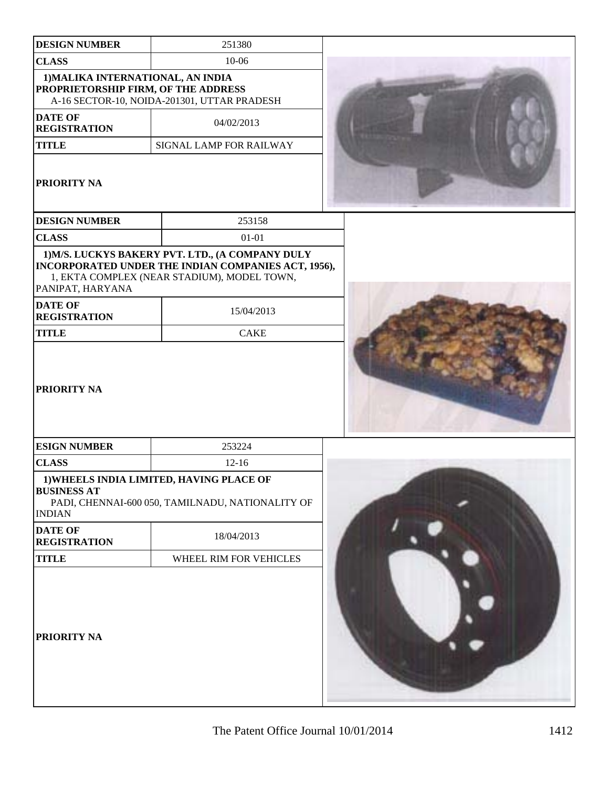| <b>DESIGN NUMBER</b>                                                     | 251380                                                                                                           |
|--------------------------------------------------------------------------|------------------------------------------------------------------------------------------------------------------|
| <b>CLASS</b>                                                             | $10 - 06$                                                                                                        |
| 1) MALIKA INTERNATIONAL, AN INDIA<br>PROPRIETORSHIP FIRM, OF THE ADDRESS | A-16 SECTOR-10, NOIDA-201301, UTTAR PRADESH                                                                      |
| <b>DATE OF</b><br><b>REGISTRATION</b>                                    | 04/02/2013                                                                                                       |
| <b>TITLE</b>                                                             | SIGNAL LAMP FOR RAILWAY                                                                                          |
| PRIORITY NA                                                              |                                                                                                                  |
| <b>DESIGN NUMBER</b>                                                     | 253158                                                                                                           |
| <b>CLASS</b>                                                             | $01 - 01$                                                                                                        |
| PANIPAT, HARYANA<br><b>DATE OF</b>                                       | INCORPORATED UNDER THE INDIAN COMPANIES ACT, 1956),<br>1, EKTA COMPLEX (NEAR STADIUM), MODEL TOWN,<br>15/04/2013 |
| <b>REGISTRATION</b>                                                      |                                                                                                                  |
| <b>TITLE</b>                                                             | <b>CAKE</b>                                                                                                      |
| <b>PRIORITY NA</b>                                                       |                                                                                                                  |
| <b>ESIGN NUMBER</b>                                                      | 253224                                                                                                           |
| <b>CLASS</b>                                                             | $12 - 16$                                                                                                        |
| <b>BUSINESS AT</b><br><b>INDIAN</b>                                      | 1) WHEELS INDIA LIMITED, HAVING PLACE OF<br>PADI, CHENNAI-600 050, TAMILNADU, NATIONALITY OF                     |
| <b>DATE OF</b><br><b>REGISTRATION</b>                                    | 18/04/2013                                                                                                       |
| <b>TITLE</b>                                                             | WHEEL RIM FOR VEHICLES                                                                                           |
| PRIORITY NA                                                              |                                                                                                                  |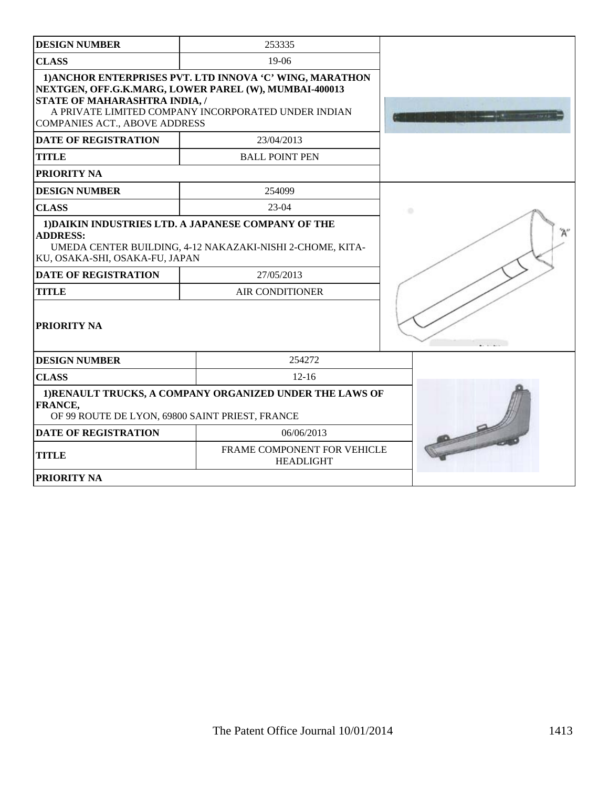| <b>DESIGN NUMBER</b>                                                             | 253335                                                                                                                                                                   |        |
|----------------------------------------------------------------------------------|--------------------------------------------------------------------------------------------------------------------------------------------------------------------------|--------|
| <b>CLASS</b>                                                                     | 19-06                                                                                                                                                                    |        |
| <b>STATE OF MAHARASHTRA INDIA, /</b><br><b>COMPANIES ACT., ABOVE ADDRESS</b>     | 1) ANCHOR ENTERPRISES PVT. LTD INNOVA 'C' WING, MARATHON<br>NEXTGEN, OFF.G.K.MARG, LOWER PAREL (W), MUMBAI-400013<br>A PRIVATE LIMITED COMPANY INCORPORATED UNDER INDIAN |        |
| <b>DATE OF REGISTRATION</b>                                                      | 23/04/2013                                                                                                                                                               |        |
| <b>TITLE</b>                                                                     | <b>BALL POINT PEN</b>                                                                                                                                                    |        |
| PRIORITY NA                                                                      |                                                                                                                                                                          |        |
| <b>DESIGN NUMBER</b>                                                             | 254099                                                                                                                                                                   |        |
| <b>CLASS</b>                                                                     | $23-04$                                                                                                                                                                  | ٠      |
| <b>ADDRESS:</b><br>KU, OSAKA-SHI, OSAKA-FU, JAPAN<br><b>DATE OF REGISTRATION</b> | 1) DAIKIN INDUSTRIES LTD. A JAPANESE COMPANY OF THE<br>UMEDA CENTER BUILDING, 4-12 NAKAZAKI-NISHI 2-CHOME, KITA-<br>27/05/2013                                           |        |
| <b>TITLE</b>                                                                     | <b>AIR CONDITIONER</b>                                                                                                                                                   |        |
| PRIORITY NA                                                                      |                                                                                                                                                                          | $\sim$ |
| <b>DESIGN NUMBER</b>                                                             | 254272                                                                                                                                                                   |        |
| <b>CLASS</b>                                                                     | $12 - 16$                                                                                                                                                                |        |
| FRANCE,<br>OF 99 ROUTE DE LYON, 69800 SAINT PRIEST, FRANCE                       | 1) RENAULT TRUCKS, A COMPANY ORGANIZED UNDER THE LAWS OF                                                                                                                 |        |
| <b>DATE OF REGISTRATION</b>                                                      | 06/06/2013                                                                                                                                                               |        |
| <b>TITLE</b>                                                                     | FRAME COMPONENT FOR VEHICLE<br><b>HEADLIGHT</b>                                                                                                                          |        |
| PRIORITY NA                                                                      |                                                                                                                                                                          |        |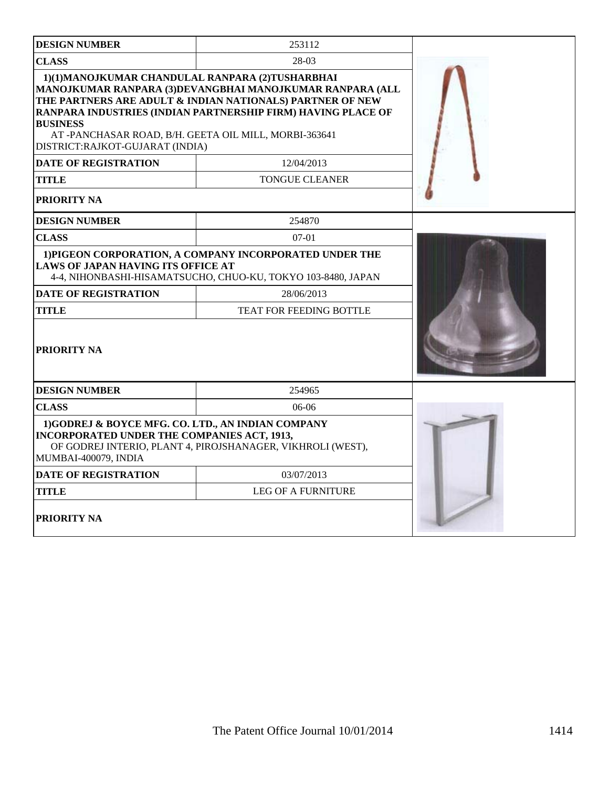| <b>DESIGN NUMBER</b>                                                                                                                                          | 253112                                                                                                                                                                                |  |
|---------------------------------------------------------------------------------------------------------------------------------------------------------------|---------------------------------------------------------------------------------------------------------------------------------------------------------------------------------------|--|
| <b>CLASS</b>                                                                                                                                                  |                                                                                                                                                                                       |  |
| 1)(1)MANOJKUMAR CHANDULAL RANPARA (2)TUSHARBHAI<br><b>BUSINESS</b><br>AT-PANCHASAR ROAD, B/H. GEETA OIL MILL, MORBI-363641<br>DISTRICT:RAJKOT-GUJARAT (INDIA) | MANOJKUMAR RANPARA (3)DEVANGBHAI MANOJKUMAR RANPARA (ALL<br>THE PARTNERS ARE ADULT & INDIAN NATIONALS) PARTNER OF NEW<br>RANPARA INDUSTRIES (INDIAN PARTNERSHIP FIRM) HAVING PLACE OF |  |
| <b>DATE OF REGISTRATION</b>                                                                                                                                   | 12/04/2013                                                                                                                                                                            |  |
| TITLE                                                                                                                                                         | <b>TONGUE CLEANER</b>                                                                                                                                                                 |  |
| PRIORITY NA                                                                                                                                                   |                                                                                                                                                                                       |  |
| <b>DESIGN NUMBER</b>                                                                                                                                          | 254870                                                                                                                                                                                |  |
| <b>CLASS</b>                                                                                                                                                  | $07-01$                                                                                                                                                                               |  |
| LAWS OF JAPAN HAVING ITS OFFICE AT                                                                                                                            | 1) PIGEON CORPORATION, A COMPANY INCORPORATED UNDER THE<br>4-4, NIHONBASHI-HISAMATSUCHO, CHUO-KU, TOKYO 103-8480, JAPAN                                                               |  |
| <b>DATE OF REGISTRATION</b>                                                                                                                                   | 28/06/2013                                                                                                                                                                            |  |
| <b>TITLE</b>                                                                                                                                                  | <b>TEAT FOR FEEDING BOTTLE</b>                                                                                                                                                        |  |
| <b>PRIORITY NA</b>                                                                                                                                            |                                                                                                                                                                                       |  |
| <b>DESIGN NUMBER</b>                                                                                                                                          | 254965                                                                                                                                                                                |  |
| <b>CLASS</b>                                                                                                                                                  | $06-06$                                                                                                                                                                               |  |
| 1)GODREJ & BOYCE MFG. CO. LTD., AN INDIAN COMPANY<br><b>INCORPORATED UNDER THE COMPANIES ACT, 1913,</b><br>MUMBAI-400079, INDIA                               | OF GODREJ INTERIO, PLANT 4, PIROJSHANAGER, VIKHROLI (WEST),                                                                                                                           |  |
| <b>DATE OF REGISTRATION</b>                                                                                                                                   | 03/07/2013                                                                                                                                                                            |  |
| TITLE                                                                                                                                                         | <b>LEG OF A FURNITURE</b>                                                                                                                                                             |  |
| <b>PRIORITY NA</b>                                                                                                                                            |                                                                                                                                                                                       |  |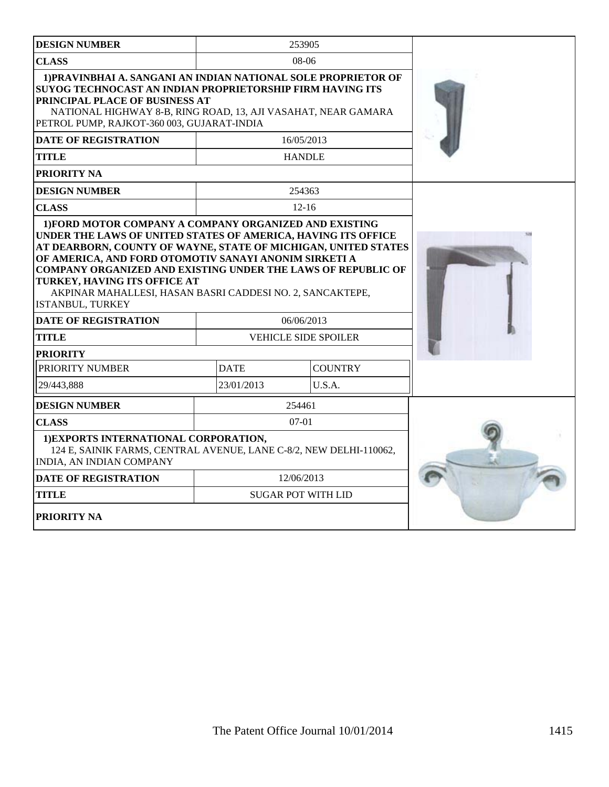| <b>DESIGN NUMBER</b>                                                                                                                                                                                                                                                                                     |             | 253905                      |  |
|----------------------------------------------------------------------------------------------------------------------------------------------------------------------------------------------------------------------------------------------------------------------------------------------------------|-------------|-----------------------------|--|
| <b>CLASS</b>                                                                                                                                                                                                                                                                                             |             | $08-06$                     |  |
| 1) PRAVINBHAI A. SANGANI AN INDIAN NATIONAL SOLE PROPRIETOR OF<br>SUYOG TECHNOCAST AN INDIAN PROPRIETORSHIP FIRM HAVING ITS<br>PRINCIPAL PLACE OF BUSINESS AT<br>NATIONAL HIGHWAY 8-B, RING ROAD, 13, AJI VASAHAT, NEAR GAMARA<br>PETROL PUMP, RAJKOT-360 003, GUJARAT-INDIA                             |             |                             |  |
| <b>DATE OF REGISTRATION</b>                                                                                                                                                                                                                                                                              |             | 16/05/2013                  |  |
| <b>TITLE</b>                                                                                                                                                                                                                                                                                             |             | <b>HANDLE</b>               |  |
| PRIORITY NA                                                                                                                                                                                                                                                                                              |             |                             |  |
| <b>DESIGN NUMBER</b>                                                                                                                                                                                                                                                                                     |             | 254363                      |  |
| <b>CLASS</b>                                                                                                                                                                                                                                                                                             |             | $12 - 16$                   |  |
| AT DEARBORN, COUNTY OF WAYNE, STATE OF MICHIGAN, UNITED STATES<br>OF AMERICA, AND FORD OTOMOTIV SANAYI ANONIM SIRKETI A<br>COMPANY ORGANIZED AND EXISTING UNDER THE LAWS OF REPUBLIC OF<br>TURKEY, HAVING ITS OFFICE AT<br>AKPINAR MAHALLESI, HASAN BASRI CADDESI NO. 2, SANCAKTEPE,<br>ISTANBUL, TURKEY |             |                             |  |
| <b>DATE OF REGISTRATION</b>                                                                                                                                                                                                                                                                              |             | 06/06/2013                  |  |
| <b>TITLE</b>                                                                                                                                                                                                                                                                                             |             | <b>VEHICLE SIDE SPOILER</b> |  |
| <b>PRIORITY</b>                                                                                                                                                                                                                                                                                          |             |                             |  |
| PRIORITY NUMBER                                                                                                                                                                                                                                                                                          | <b>DATE</b> | <b>COUNTRY</b>              |  |
| 29/443.888                                                                                                                                                                                                                                                                                               | 23/01/2013  | U.S.A.                      |  |
| <b>DESIGN NUMBER</b>                                                                                                                                                                                                                                                                                     |             | 254461                      |  |
| <b>CLASS</b>                                                                                                                                                                                                                                                                                             |             | $07 - 01$                   |  |
| 1) EXPORTS INTERNATIONAL CORPORATION,<br>124 E, SAINIK FARMS, CENTRAL AVENUE, LANE C-8/2, NEW DELHI-110062,<br>INDIA, AN INDIAN COMPANY                                                                                                                                                                  |             |                             |  |
| <b>DATE OF REGISTRATION</b>                                                                                                                                                                                                                                                                              |             | 12/06/2013                  |  |
| <b>TITLE</b>                                                                                                                                                                                                                                                                                             |             | <b>SUGAR POT WITH LID</b>   |  |
| <b>PRIORITY NA</b>                                                                                                                                                                                                                                                                                       |             |                             |  |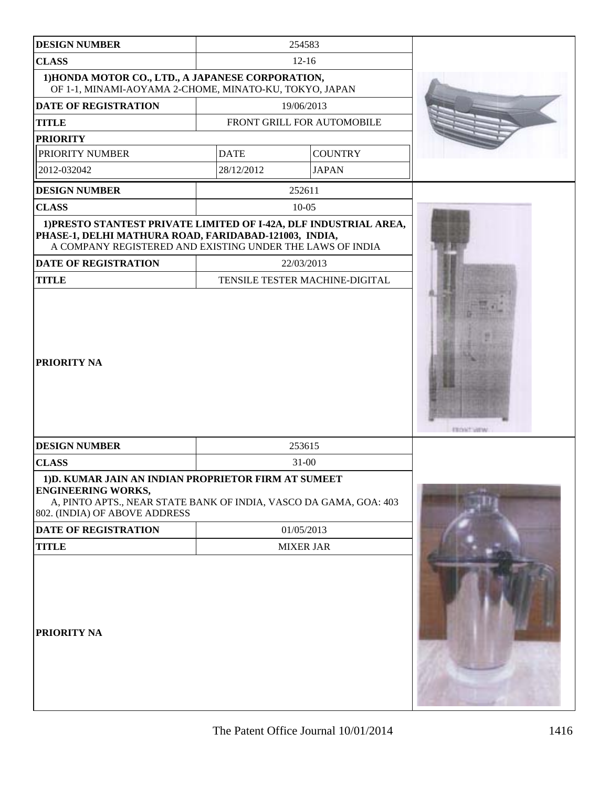| <b>DESIGN NUMBER</b>                                                                                                                                                                    |             | 254583                         |                    |
|-----------------------------------------------------------------------------------------------------------------------------------------------------------------------------------------|-------------|--------------------------------|--------------------|
| <b>CLASS</b>                                                                                                                                                                            |             |                                |                    |
| 1) HONDA MOTOR CO., LTD., A JAPANESE CORPORATION,<br>OF 1-1, MINAMI-AOYAMA 2-CHOME, MINATO-KU, TOKYO, JAPAN                                                                             |             |                                |                    |
| <b>DATE OF REGISTRATION</b>                                                                                                                                                             |             | 19/06/2013                     |                    |
| <b>TITLE</b>                                                                                                                                                                            |             | FRONT GRILL FOR AUTOMOBILE     |                    |
| <b>PRIORITY</b>                                                                                                                                                                         |             |                                |                    |
| PRIORITY NUMBER                                                                                                                                                                         | <b>DATE</b> | <b>COUNTRY</b>                 |                    |
| 2012-032042                                                                                                                                                                             | 28/12/2012  | <b>JAPAN</b>                   |                    |
| <b>DESIGN NUMBER</b>                                                                                                                                                                    |             | 252611                         |                    |
| <b>CLASS</b>                                                                                                                                                                            |             | $10 - 05$                      |                    |
| 1) PRESTO STANTEST PRIVATE LIMITED OF I-42A, DLF INDUSTRIAL AREA,<br>PHASE-1, DELHI MATHURA ROAD, FARIDABAD-121003, INDIA,<br>A COMPANY REGISTERED AND EXISTING UNDER THE LAWS OF INDIA |             |                                |                    |
| <b>DATE OF REGISTRATION</b>                                                                                                                                                             |             | 22/03/2013                     |                    |
| <b>TITLE</b>                                                                                                                                                                            |             | TENSILE TESTER MACHINE-DIGITAL |                    |
| <b>PRIORITY NA</b>                                                                                                                                                                      |             |                                | <b>FEDRIT VIEW</b> |
| <b>DESIGN NUMBER</b>                                                                                                                                                                    |             | 253615                         |                    |
| <b>CLASS</b>                                                                                                                                                                            |             | $31 - 00$                      |                    |
| 1) D. KUMAR JAIN AN INDIAN PROPRIETOR FIRM AT SUMEET<br><b>ENGINEERING WORKS,</b><br>A, PINTO APTS., NEAR STATE BANK OF INDIA, VASCO DA GAMA, GOA: 403<br>802. (INDIA) OF ABOVE ADDRESS |             |                                |                    |
| DATE OF REGISTRATION                                                                                                                                                                    |             | 01/05/2013                     |                    |
| <b>TITLE</b>                                                                                                                                                                            |             | <b>MIXER JAR</b>               |                    |
| <b>PRIORITY NA</b>                                                                                                                                                                      |             |                                |                    |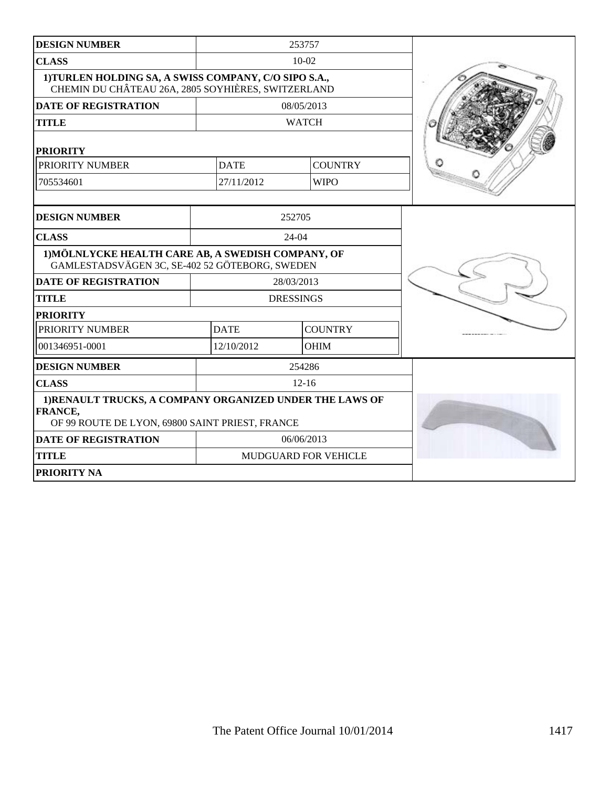| <b>DESIGN NUMBER</b>                                                                                                          |             | 253757               |  |
|-------------------------------------------------------------------------------------------------------------------------------|-------------|----------------------|--|
| <b>CLASS</b>                                                                                                                  |             | $10 - 02$            |  |
| 1) TURLEN HOLDING SA, A SWISS COMPANY, C/O SIPO S.A.,<br>CHEMIN DU CHÂTEAU 26A, 2805 SOYHIÈRES, SWITZERLAND                   |             |                      |  |
| <b>DATE OF REGISTRATION</b>                                                                                                   |             | 08/05/2013           |  |
| <b>TITLE</b>                                                                                                                  |             | <b>WATCH</b>         |  |
| <b>PRIORITY</b>                                                                                                               |             |                      |  |
| PRIORITY NUMBER                                                                                                               | <b>DATE</b> | <b>COUNTRY</b>       |  |
| 705534601                                                                                                                     | 27/11/2012  | <b>WIPO</b>          |  |
|                                                                                                                               |             |                      |  |
| <b>DESIGN NUMBER</b>                                                                                                          |             | 252705               |  |
| <b>CLASS</b>                                                                                                                  |             | $24 - 04$            |  |
| 1) MÖLNLYCKE HEALTH CARE AB, A SWEDISH COMPANY, OF<br>GAMLESTADSVÄGEN 3C, SE-402 52 GÖTEBORG, SWEDEN                          |             |                      |  |
| <b>DATE OF REGISTRATION</b>                                                                                                   |             | 28/03/2013           |  |
| <b>TITLE</b>                                                                                                                  |             | <b>DRESSINGS</b>     |  |
| <b>PRIORITY</b>                                                                                                               |             |                      |  |
| PRIORITY NUMBER                                                                                                               | <b>DATE</b> | <b>COUNTRY</b>       |  |
| 001346951-0001                                                                                                                | 12/10/2012  | <b>OHIM</b>          |  |
| <b>DESIGN NUMBER</b>                                                                                                          |             | 254286               |  |
| <b>CLASS</b>                                                                                                                  |             |                      |  |
| 1) RENAULT TRUCKS, A COMPANY ORGANIZED UNDER THE LAWS OF<br><b>FRANCE,</b><br>OF 99 ROUTE DE LYON, 69800 SAINT PRIEST, FRANCE |             |                      |  |
| <b>DATE OF REGISTRATION</b>                                                                                                   | 06/06/2013  |                      |  |
| <b>TITLE</b>                                                                                                                  |             | MUDGUARD FOR VEHICLE |  |
| PRIORITY NA                                                                                                                   |             |                      |  |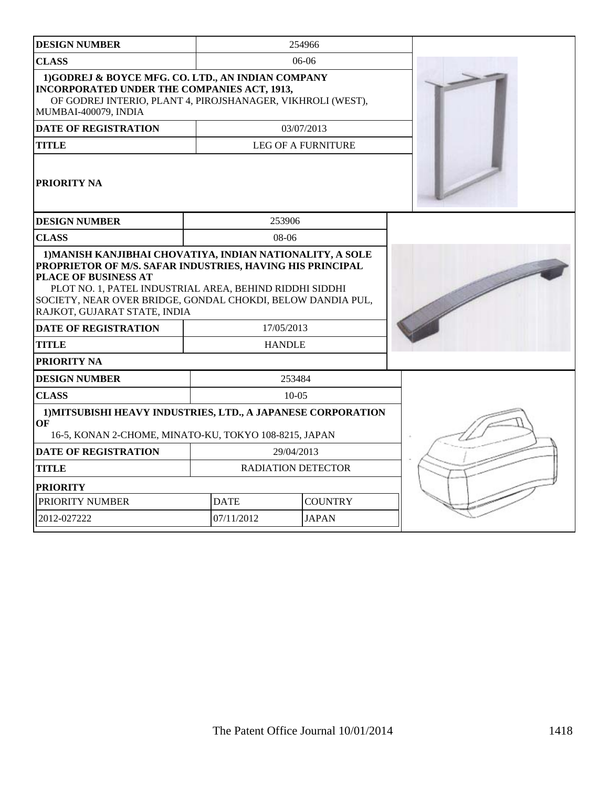| <b>DESIGN NUMBER</b>                                                                                                                                                                                                                        |                           | 254966                    |  |
|---------------------------------------------------------------------------------------------------------------------------------------------------------------------------------------------------------------------------------------------|---------------------------|---------------------------|--|
| <b>CLASS</b><br>$06-06$                                                                                                                                                                                                                     |                           |                           |  |
| 1)GODREJ & BOYCE MFG. CO. LTD., AN INDIAN COMPANY<br>INCORPORATED UNDER THE COMPANIES ACT, 1913,<br>OF GODREJ INTERIO, PLANT 4, PIROJSHANAGER, VIKHROLI (WEST),<br>MUMBAI-400079, INDIA                                                     |                           |                           |  |
| <b>DATE OF REGISTRATION</b>                                                                                                                                                                                                                 |                           | 03/07/2013                |  |
| <b>TITLE</b>                                                                                                                                                                                                                                |                           | <b>LEG OF A FURNITURE</b> |  |
| PRIORITY NA                                                                                                                                                                                                                                 |                           |                           |  |
| <b>DESIGN NUMBER</b>                                                                                                                                                                                                                        | 253906                    |                           |  |
| <b>CLASS</b>                                                                                                                                                                                                                                | $08-06$                   |                           |  |
| PROPRIETOR OF M/S. SAFAR INDUSTRIES, HAVING HIS PRINCIPAL<br>PLACE OF BUSINESS AT<br>PLOT NO. 1, PATEL INDUSTRIAL AREA, BEHIND RIDDHI SIDDHI<br>SOCIETY, NEAR OVER BRIDGE, GONDAL CHOKDI, BELOW DANDIA PUL,<br>RAJKOT, GUJARAT STATE, INDIA |                           |                           |  |
| <b>DATE OF REGISTRATION</b>                                                                                                                                                                                                                 | 17/05/2013                |                           |  |
| <b>TITLE</b>                                                                                                                                                                                                                                | <b>HANDLE</b>             |                           |  |
| PRIORITY NA                                                                                                                                                                                                                                 |                           |                           |  |
| <b>DESIGN NUMBER</b>                                                                                                                                                                                                                        |                           | 253484                    |  |
| <b>CLASS</b>                                                                                                                                                                                                                                |                           | $10-05$                   |  |
| 1) MITSUBISHI HEAVY INDUSTRIES, LTD., A JAPANESE CORPORATION<br>OF<br>16-5, KONAN 2-CHOME, MINATO-KU, TOKYO 108-8215, JAPAN                                                                                                                 |                           |                           |  |
| <b>DATE OF REGISTRATION</b>                                                                                                                                                                                                                 |                           | 29/04/2013                |  |
| <b>TITLE</b>                                                                                                                                                                                                                                | <b>RADIATION DETECTOR</b> |                           |  |
| <b>PRIORITY</b>                                                                                                                                                                                                                             |                           |                           |  |
| PRIORITY NUMBER                                                                                                                                                                                                                             | <b>DATE</b>               | <b>COUNTRY</b>            |  |
| 2012-027222<br>07/11/2012<br><b>JAPAN</b>                                                                                                                                                                                                   |                           |                           |  |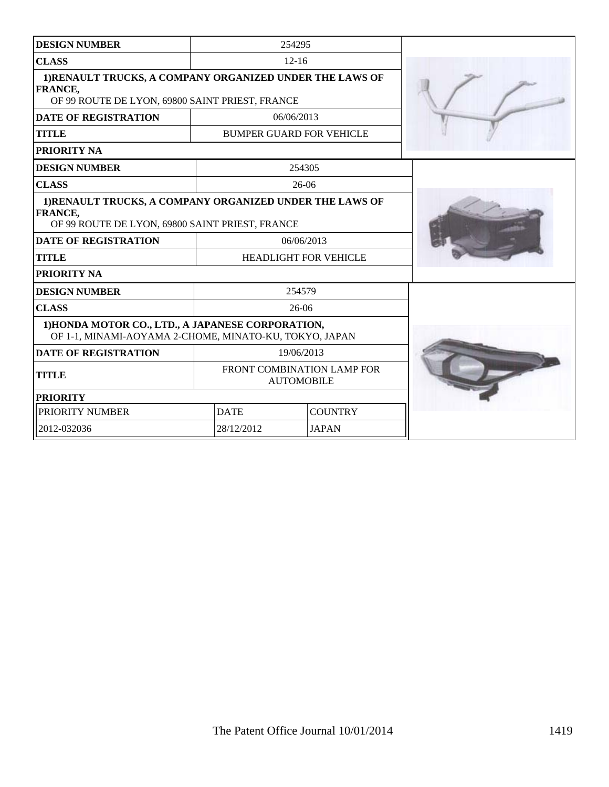| <b>DESIGN NUMBER</b>                                                                                                   |                                                 | 254295                          |  |
|------------------------------------------------------------------------------------------------------------------------|-------------------------------------------------|---------------------------------|--|
| <b>CLASS</b>                                                                                                           |                                                 | $12 - 16$                       |  |
| 1)RENAULT TRUCKS, A COMPANY ORGANIZED UNDER THE LAWS OF<br>FRANCE,<br>OF 99 ROUTE DE LYON, 69800 SAINT PRIEST, FRANCE  |                                                 |                                 |  |
| <b>DATE OF REGISTRATION</b>                                                                                            |                                                 | 06/06/2013                      |  |
| <b>TITLE</b>                                                                                                           |                                                 | <b>BUMPER GUARD FOR VEHICLE</b> |  |
| PRIORITY NA                                                                                                            |                                                 |                                 |  |
| <b>DESIGN NUMBER</b>                                                                                                   |                                                 | 254305                          |  |
| <b>CLASS</b>                                                                                                           |                                                 | $26-06$                         |  |
| 1) RENAULT TRUCKS, A COMPANY ORGANIZED UNDER THE LAWS OF<br>FRANCE,<br>OF 99 ROUTE DE LYON, 69800 SAINT PRIEST, FRANCE |                                                 |                                 |  |
| <b>DATE OF REGISTRATION</b>                                                                                            |                                                 | 06/06/2013                      |  |
| <b>TITLE</b>                                                                                                           | <b>HEADLIGHT FOR VEHICLE</b>                    |                                 |  |
| PRIORITY NA                                                                                                            |                                                 |                                 |  |
| <b>DESIGN NUMBER</b>                                                                                                   |                                                 | 254579                          |  |
| <b>CLASS</b>                                                                                                           |                                                 | $26-06$                         |  |
| 1) HONDA MOTOR CO., LTD., A JAPANESE CORPORATION,<br>OF 1-1, MINAMI-AOYAMA 2-CHOME, MINATO-KU, TOKYO, JAPAN            |                                                 |                                 |  |
| <b>DATE OF REGISTRATION</b>                                                                                            |                                                 | 19/06/2013                      |  |
| <b>TITLE</b>                                                                                                           | FRONT COMBINATION LAMP FOR<br><b>AUTOMOBILE</b> |                                 |  |
| <b>PRIORITY</b>                                                                                                        |                                                 |                                 |  |
| PRIORITY NUMBER                                                                                                        | <b>DATE</b>                                     | <b>COUNTRY</b>                  |  |
| 2012-032036                                                                                                            | 28/12/2012                                      | <b>JAPAN</b>                    |  |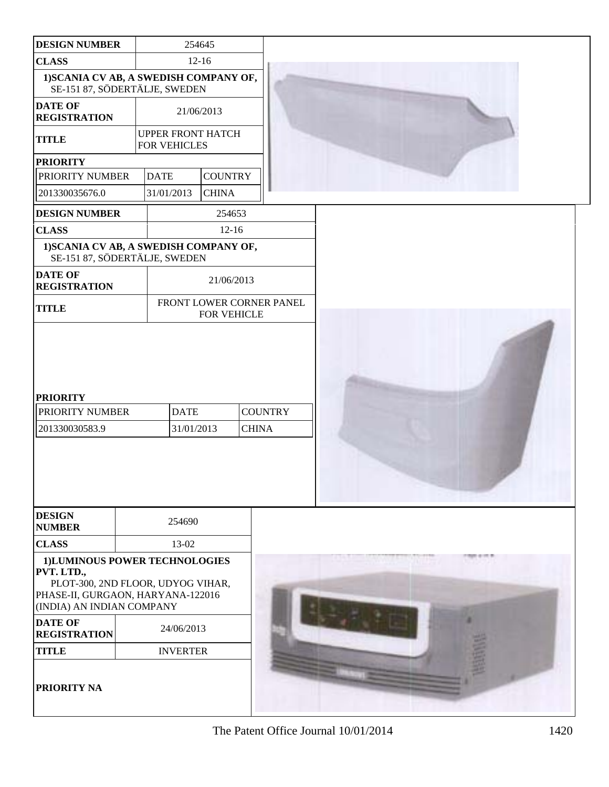| <b>DESIGN NUMBER</b>                                                                                                                               |                                                 | 254645         |                          |  |  |
|----------------------------------------------------------------------------------------------------------------------------------------------------|-------------------------------------------------|----------------|--------------------------|--|--|
| <b>CLASS</b>                                                                                                                                       |                                                 | $12 - 16$      |                          |  |  |
| 1) SCANIA CV AB, A SWEDISH COMPANY OF,<br>SE-151 87, SÖDERTÄLJE, SWEDEN                                                                            |                                                 |                |                          |  |  |
| <b>DATE OF</b><br><b>REGISTRATION</b>                                                                                                              | 21/06/2013                                      |                |                          |  |  |
| <b>TITLE</b>                                                                                                                                       | <b>UPPER FRONT HATCH</b><br><b>FOR VEHICLES</b> |                |                          |  |  |
| <b>PRIORITY</b>                                                                                                                                    |                                                 |                |                          |  |  |
| PRIORITY NUMBER                                                                                                                                    | <b>DATE</b>                                     | <b>COUNTRY</b> |                          |  |  |
| 201330035676.0                                                                                                                                     | 31/01/2013                                      | <b>CHINA</b>   |                          |  |  |
| <b>DESIGN NUMBER</b>                                                                                                                               |                                                 | 254653         |                          |  |  |
| <b>CLASS</b>                                                                                                                                       |                                                 | $12 - 16$      |                          |  |  |
| 1) SCANIA CV AB, A SWEDISH COMPANY OF,<br>SE-151 87, SÖDERTÄLJE, SWEDEN                                                                            |                                                 |                |                          |  |  |
| <b>DATE OF</b><br><b>REGISTRATION</b>                                                                                                              |                                                 | 21/06/2013     |                          |  |  |
| <b>TITLE</b>                                                                                                                                       |                                                 | FOR VEHICLE    | FRONT LOWER CORNER PANEL |  |  |
| <b>PRIORITY</b><br>PRIORITY NUMBER                                                                                                                 | <b>DATE</b>                                     |                | <b>COUNTRY</b>           |  |  |
| 201330030583.9                                                                                                                                     | 31/01/2013                                      |                | <b>CHINA</b>             |  |  |
| <b>DESIGN</b>                                                                                                                                      |                                                 |                |                          |  |  |
| <b>NUMBER</b>                                                                                                                                      | 254690                                          |                |                          |  |  |
| <b>CLASS</b>                                                                                                                                       | 13-02                                           |                |                          |  |  |
| 1)LUMINOUS POWER TECHNOLOGIES<br>PVT. LTD.,<br>PLOT-300, 2ND FLOOR, UDYOG VIHAR,<br>PHASE-II, GURGAON, HARYANA-122016<br>(INDIA) AN INDIAN COMPANY |                                                 |                |                          |  |  |
| <b>DATE OF</b><br><b>REGISTRATION</b>                                                                                                              | 24/06/2013                                      |                |                          |  |  |
| <b>TITLE</b>                                                                                                                                       | <b>INVERTER</b>                                 |                |                          |  |  |
| PRIORITY NA                                                                                                                                        |                                                 |                |                          |  |  |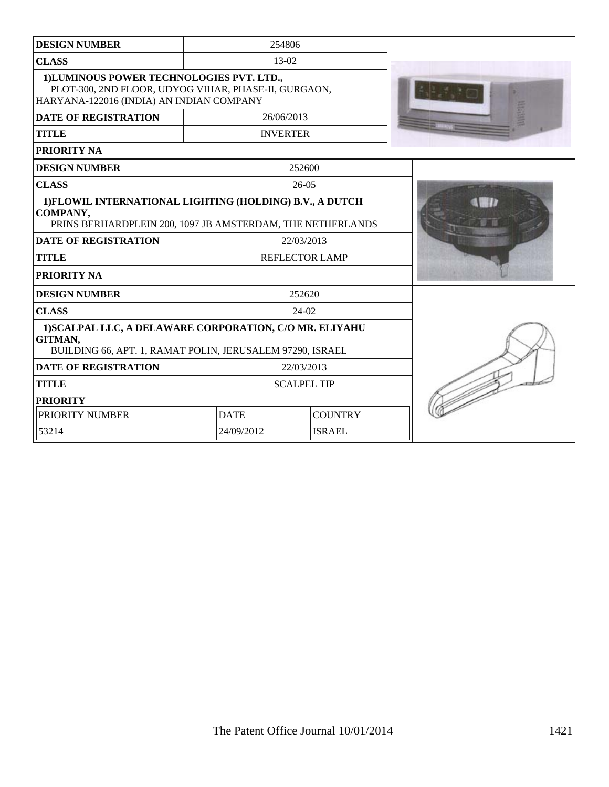| <b>DESIGN NUMBER</b>                                                                                                                          | 254806          |                       |  |
|-----------------------------------------------------------------------------------------------------------------------------------------------|-----------------|-----------------------|--|
| <b>CLASS</b>                                                                                                                                  | $13-02$         |                       |  |
| 1) LUMINOUS POWER TECHNOLOGIES PVT. LTD.,<br>PLOT-300, 2ND FLOOR, UDYOG VIHAR, PHASE-II, GURGAON,<br>HARYANA-122016 (INDIA) AN INDIAN COMPANY |                 |                       |  |
| <b>DATE OF REGISTRATION</b>                                                                                                                   | 26/06/2013      |                       |  |
| <b>TITLE</b>                                                                                                                                  | <b>INVERTER</b> |                       |  |
| PRIORITY NA                                                                                                                                   |                 |                       |  |
| <b>DESIGN NUMBER</b>                                                                                                                          |                 | 252600                |  |
| <b>CLASS</b>                                                                                                                                  |                 | $26-05$               |  |
| 1) FLOWIL INTERNATIONAL LIGHTING (HOLDING) B.V., A DUTCH<br>COMPANY,<br>PRINS BERHARDPLEIN 200, 1097 JB AMSTERDAM, THE NETHERLANDS            |                 |                       |  |
| <b>DATE OF REGISTRATION</b>                                                                                                                   |                 | 22/03/2013            |  |
| <b>TITLE</b>                                                                                                                                  |                 | <b>REFLECTOR LAMP</b> |  |
| PRIORITY NA                                                                                                                                   |                 |                       |  |
| <b>DESIGN NUMBER</b>                                                                                                                          |                 | 252620                |  |
| <b>CLASS</b>                                                                                                                                  |                 | $24-02$               |  |
| 1) SCALPAL LLC, A DELAWARE CORPORATION, C/O MR. ELIYAHU<br>GITMAN,<br>BUILDING 66, APT. 1, RAMAT POLIN, JERUSALEM 97290, ISRAEL               |                 |                       |  |
| <b>DATE OF REGISTRATION</b>                                                                                                                   |                 | 22/03/2013            |  |
| <b>TITLE</b>                                                                                                                                  |                 | <b>SCALPEL TIP</b>    |  |
| <b>PRIORITY</b>                                                                                                                               |                 |                       |  |
| PRIORITY NUMBER                                                                                                                               | <b>DATE</b>     | <b>COUNTRY</b>        |  |
| 53214                                                                                                                                         | 24/09/2012      | <b>ISRAEL</b>         |  |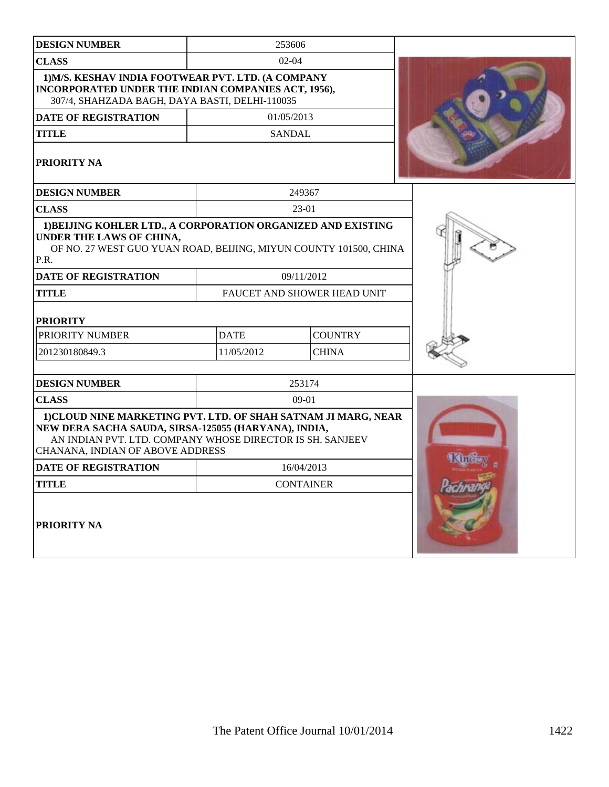| <b>DESIGN NUMBER</b>                                                                                                                                                                                                    |             | 253606                      |                |
|-------------------------------------------------------------------------------------------------------------------------------------------------------------------------------------------------------------------------|-------------|-----------------------------|----------------|
| <b>CLASS</b>                                                                                                                                                                                                            |             | $02 - 04$                   |                |
| 1) M/S. KESHAV INDIA FOOTWEAR PVT. LTD. (A COMPANY<br>INCORPORATED UNDER THE INDIAN COMPANIES ACT, 1956),<br>307/4, SHAHZADA BAGH, DAYA BASTI, DELHI-110035                                                             |             |                             |                |
| <b>DATE OF REGISTRATION</b>                                                                                                                                                                                             |             | 01/05/2013                  |                |
| <b>TITLE</b>                                                                                                                                                                                                            |             | <b>SANDAL</b>               |                |
| PRIORITY NA                                                                                                                                                                                                             |             |                             |                |
| <b>DESIGN NUMBER</b>                                                                                                                                                                                                    |             | 249367                      |                |
| <b>CLASS</b>                                                                                                                                                                                                            |             | 23-01                       |                |
| 1) BEIJING KOHLER LTD., A CORPORATION ORGANIZED AND EXISTING<br>UNDER THE LAWS OF CHINA,<br>OF NO. 27 WEST GUO YUAN ROAD, BEIJING, MIYUN COUNTY 101500, CHINA<br>P.R.                                                   |             |                             |                |
| DATE OF REGISTRATION                                                                                                                                                                                                    |             | 09/11/2012                  |                |
| <b>TITLE</b>                                                                                                                                                                                                            |             | FAUCET AND SHOWER HEAD UNIT |                |
| <b>PRIORITY</b>                                                                                                                                                                                                         |             |                             |                |
| PRIORITY NUMBER                                                                                                                                                                                                         | <b>DATE</b> | <b>COUNTRY</b>              |                |
| 201230180849.3                                                                                                                                                                                                          | 11/05/2012  | <b>CHINA</b>                |                |
| <b>DESIGN NUMBER</b>                                                                                                                                                                                                    |             | 253174                      |                |
| <b>CLASS</b>                                                                                                                                                                                                            |             | $09-01$                     |                |
| 1) CLOUD NINE MARKETING PVT. LTD. OF SHAH SATNAM JI MARG, NEAR<br>NEW DERA SACHA SAUDA, SIRSA-125055 (HARYANA), INDIA,<br>AN INDIAN PVT. LTD. COMPANY WHOSE DIRECTOR IS SH. SANJEEV<br>CHANANA, INDIAN OF ABOVE ADDRESS |             |                             |                |
| <b>DATE OF REGISTRATION</b>                                                                                                                                                                                             |             | 16/04/2013                  |                |
| <b>TITLE</b>                                                                                                                                                                                                            |             | <b>CONTAINER</b>            | <b>Pachral</b> |
| PRIORITY NA                                                                                                                                                                                                             |             |                             |                |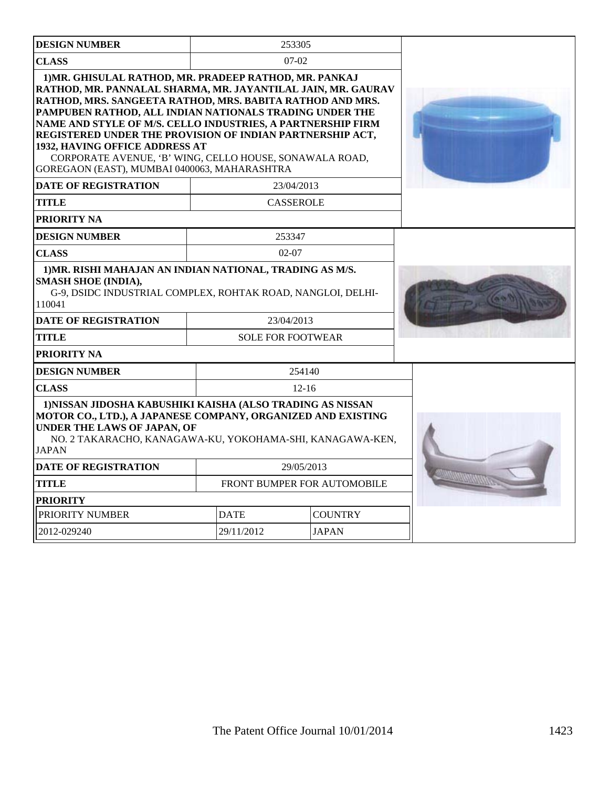| <b>DESIGN NUMBER</b>                                                                                                                                                                                                                                                                                                                                                                                                                                                                                                    | 253305                             |                |  |
|-------------------------------------------------------------------------------------------------------------------------------------------------------------------------------------------------------------------------------------------------------------------------------------------------------------------------------------------------------------------------------------------------------------------------------------------------------------------------------------------------------------------------|------------------------------------|----------------|--|
| <b>CLASS</b>                                                                                                                                                                                                                                                                                                                                                                                                                                                                                                            | $07-02$                            |                |  |
| 1) MR. GHISULAL RATHOD, MR. PRADEEP RATHOD, MR. PANKAJ<br>RATHOD, MR. PANNALAL SHARMA, MR. JAYANTILAL JAIN, MR. GAURAV<br>RATHOD, MRS. SANGEETA RATHOD, MRS. BABITA RATHOD AND MRS.<br>PAMPUBEN RATHOD, ALL INDIAN NATIONALS TRADING UNDER THE<br>NAME AND STYLE OF M/S. CELLO INDUSTRIES, A PARTNERSHIP FIRM<br>REGISTERED UNDER THE PROVISION OF INDIAN PARTNERSHIP ACT,<br>1932, HAVING OFFICE ADDRESS AT<br>CORPORATE AVENUE, 'B' WING, CELLO HOUSE, SONAWALA ROAD,<br>GOREGAON (EAST), MUMBAI 0400063, MAHARASHTRA |                                    |                |  |
| <b>DATE OF REGISTRATION</b>                                                                                                                                                                                                                                                                                                                                                                                                                                                                                             | 23/04/2013                         |                |  |
| <b>TITLE</b>                                                                                                                                                                                                                                                                                                                                                                                                                                                                                                            | <b>CASSEROLE</b>                   |                |  |
| PRIORITY NA                                                                                                                                                                                                                                                                                                                                                                                                                                                                                                             |                                    |                |  |
| <b>DESIGN NUMBER</b>                                                                                                                                                                                                                                                                                                                                                                                                                                                                                                    | 253347                             |                |  |
| <b>CLASS</b>                                                                                                                                                                                                                                                                                                                                                                                                                                                                                                            | $02 - 07$                          |                |  |
| 1) MR. RISHI MAHAJAN AN INDIAN NATIONAL, TRADING AS M/S.<br><b>SMASH SHOE (INDIA),</b><br>G-9, DSIDC INDUSTRIAL COMPLEX, ROHTAK ROAD, NANGLOI, DELHI-<br>110041<br><b>DATE OF REGISTRATION</b>                                                                                                                                                                                                                                                                                                                          | 23/04/2013                         |                |  |
| <b>TITLE</b>                                                                                                                                                                                                                                                                                                                                                                                                                                                                                                            | <b>SOLE FOR FOOTWEAR</b>           |                |  |
| PRIORITY NA                                                                                                                                                                                                                                                                                                                                                                                                                                                                                                             |                                    |                |  |
| <b>DESIGN NUMBER</b>                                                                                                                                                                                                                                                                                                                                                                                                                                                                                                    | 254140                             |                |  |
| <b>CLASS</b>                                                                                                                                                                                                                                                                                                                                                                                                                                                                                                            | $12 - 16$                          |                |  |
| 1) NISSAN JIDOSHA KABUSHIKI KAISHA (ALSO TRADING AS NISSAN<br>MOTOR CO., LTD.), A JAPANESE COMPANY, ORGANIZED AND EXISTING<br><b>UNDER THE LAWS OF JAPAN, OF</b><br>NO. 2 TAKARACHO, KANAGAWA-KU, YOKOHAMA-SHI, KANAGAWA-KEN,<br><b>JAPAN</b>                                                                                                                                                                                                                                                                           |                                    |                |  |
| <b>DATE OF REGISTRATION</b>                                                                                                                                                                                                                                                                                                                                                                                                                                                                                             | 29/05/2013                         |                |  |
| <b>TITLE</b>                                                                                                                                                                                                                                                                                                                                                                                                                                                                                                            | <b>FRONT BUMPER FOR AUTOMOBILE</b> |                |  |
| <b>PRIORITY</b>                                                                                                                                                                                                                                                                                                                                                                                                                                                                                                         |                                    |                |  |
| <b>PRIORITY NUMBER</b>                                                                                                                                                                                                                                                                                                                                                                                                                                                                                                  | <b>DATE</b>                        | <b>COUNTRY</b> |  |
| 2012-029240                                                                                                                                                                                                                                                                                                                                                                                                                                                                                                             | <b>JAPAN</b><br>29/11/2012         |                |  |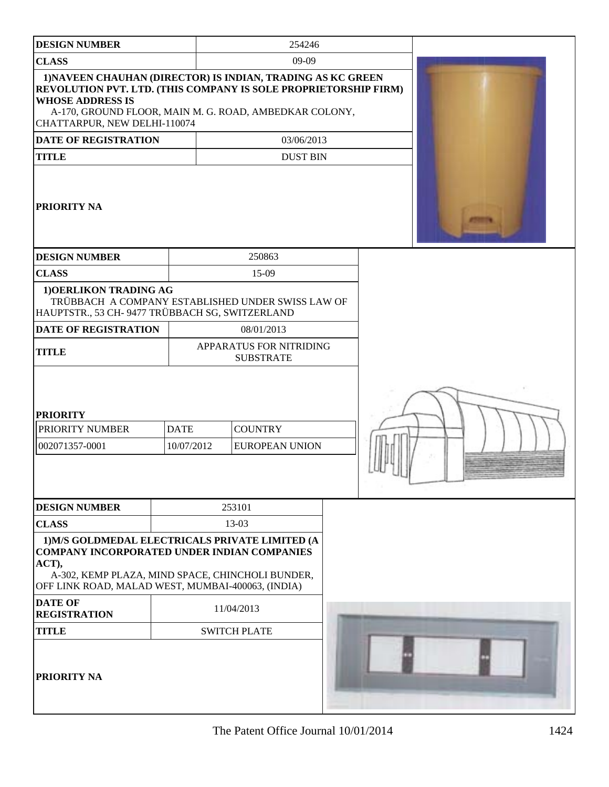| <b>DESIGN NUMBER</b>                                                                                                       |                           | 254246                                                                                                                |  |  |
|----------------------------------------------------------------------------------------------------------------------------|---------------------------|-----------------------------------------------------------------------------------------------------------------------|--|--|
| <b>CLASS</b>                                                                                                               |                           | 09-09                                                                                                                 |  |  |
| REVOLUTION PVT. LTD. (THIS COMPANY IS SOLE PROPRIETORSHIP FIRM)<br><b>WHOSE ADDRESS IS</b><br>CHATTARPUR, NEW DELHI-110074 |                           | 1) NAVEEN CHAUHAN (DIRECTOR) IS INDIAN, TRADING AS KC GREEN<br>A-170, GROUND FLOOR, MAIN M. G. ROAD, AMBEDKAR COLONY, |  |  |
| <b>DATE OF REGISTRATION</b>                                                                                                |                           | 03/06/2013                                                                                                            |  |  |
| <b>TITLE</b>                                                                                                               |                           | <b>DUST BIN</b>                                                                                                       |  |  |
| <b>PRIORITY NA</b>                                                                                                         |                           |                                                                                                                       |  |  |
| <b>DESIGN NUMBER</b>                                                                                                       |                           | 250863                                                                                                                |  |  |
| <b>CLASS</b>                                                                                                               |                           | 15-09                                                                                                                 |  |  |
| 1) OERLIKON TRADING AG<br>HAUPTSTR., 53 CH- 9477 TRÜBBACH SG, SWITZERLAND                                                  |                           | TRÜBBACH A COMPANY ESTABLISHED UNDER SWISS LAW OF                                                                     |  |  |
| <b>DATE OF REGISTRATION</b>                                                                                                |                           | 08/01/2013                                                                                                            |  |  |
| <b>TITLE</b>                                                                                                               |                           | APPARATUS FOR NITRIDING<br><b>SUBSTRATE</b>                                                                           |  |  |
| <b>PRIORITY</b><br>PRIORITY NUMBER<br>002071357-0001                                                                       | <b>DATE</b><br>10/07/2012 | <b>COUNTRY</b><br><b>EUROPEAN UNION</b>                                                                               |  |  |
| <b>DESIGN NUMBER</b>                                                                                                       |                           | 253101                                                                                                                |  |  |
| <b>CLASS</b>                                                                                                               |                           | 13-03                                                                                                                 |  |  |
| <b>COMPANY INCORPORATED UNDER INDIAN COMPANIES</b><br>ACT),<br>OFF LINK ROAD, MALAD WEST, MUMBAI-400063, (INDIA)           |                           | 1) M/S GOLDMEDAL ELECTRICALS PRIVATE LIMITED (A<br>A-302, KEMP PLAZA, MIND SPACE, CHINCHOLI BUNDER,                   |  |  |
| <b>DATE OF</b><br><b>REGISTRATION</b>                                                                                      |                           | 11/04/2013                                                                                                            |  |  |
| <b>TITLE</b>                                                                                                               |                           | <b>SWITCH PLATE</b>                                                                                                   |  |  |
| <b>PRIORITY NA</b>                                                                                                         |                           |                                                                                                                       |  |  |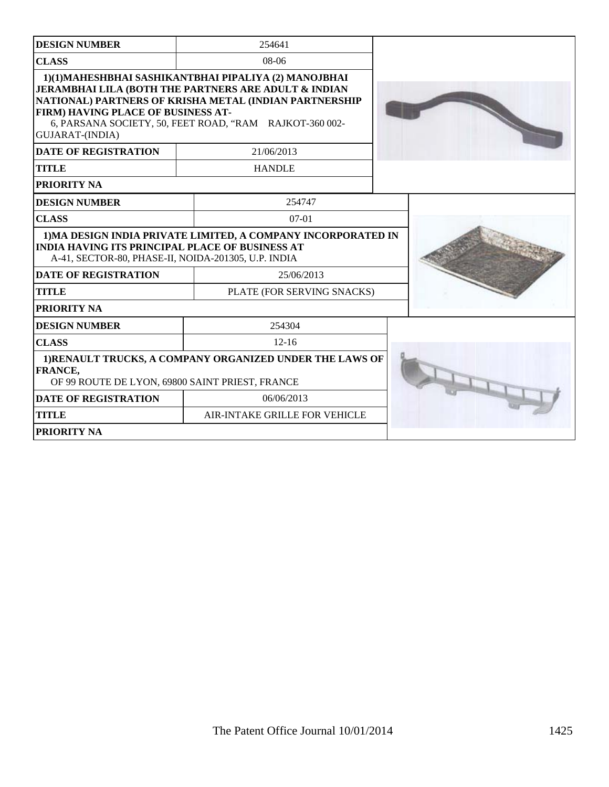| <b>DESIGN NUMBER</b>                                                                                          | 254641                                                                                                                                                                                                                                        |  |
|---------------------------------------------------------------------------------------------------------------|-----------------------------------------------------------------------------------------------------------------------------------------------------------------------------------------------------------------------------------------------|--|
| <b>CLASS</b>                                                                                                  | $08-06$                                                                                                                                                                                                                                       |  |
| <b>FIRM) HAVING PLACE OF BUSINESS AT-</b><br><b>GUJARAT-(INDIA)</b>                                           | 1)(1) MAHESHBHAI SASHIKANTBHAI PIPALIYA (2) MANOJBHAI<br><b>JERAMBHAI LILA (BOTH THE PARTNERS ARE ADULT &amp; INDIAN</b><br>NATIONAL) PARTNERS OF KRISHA METAL (INDIAN PARTNERSHIP<br>6, PARSANA SOCIETY, 50, FEET ROAD, "RAM RAJKOT-360 002- |  |
| <b>DATE OF REGISTRATION</b>                                                                                   | 21/06/2013                                                                                                                                                                                                                                    |  |
| <b>TITLE</b>                                                                                                  | <b>HANDLE</b>                                                                                                                                                                                                                                 |  |
| PRIORITY NA                                                                                                   |                                                                                                                                                                                                                                               |  |
| <b>DESIGN NUMBER</b>                                                                                          | 254747                                                                                                                                                                                                                                        |  |
| <b>CLASS</b>                                                                                                  | $07-01$                                                                                                                                                                                                                                       |  |
| <b>INDIA HAVING ITS PRINCIPAL PLACE OF BUSINESS AT</b><br>A-41, SECTOR-80, PHASE-II, NOIDA-201305, U.P. INDIA | 1) MA DESIGN INDIA PRIVATE LIMITED, A COMPANY INCORPORATED IN                                                                                                                                                                                 |  |
| <b>DATE OF REGISTRATION</b>                                                                                   | 25/06/2013                                                                                                                                                                                                                                    |  |
| <b>TITLE</b>                                                                                                  | PLATE (FOR SERVING SNACKS)                                                                                                                                                                                                                    |  |
| PRIORITY NA                                                                                                   |                                                                                                                                                                                                                                               |  |
| <b>DESIGN NUMBER</b>                                                                                          | 254304                                                                                                                                                                                                                                        |  |
| <b>CLASS</b>                                                                                                  | $12 - 16$                                                                                                                                                                                                                                     |  |
| FRANCE,<br>OF 99 ROUTE DE LYON, 69800 SAINT PRIEST, FRANCE                                                    | 1)RENAULT TRUCKS, A COMPANY ORGANIZED UNDER THE LAWS OF                                                                                                                                                                                       |  |
| <b>DATE OF REGISTRATION</b>                                                                                   | 06/06/2013                                                                                                                                                                                                                                    |  |
| <b>TITLE</b>                                                                                                  | AIR-INTAKE GRILLE FOR VEHICLE                                                                                                                                                                                                                 |  |
| PRIORITY NA                                                                                                   |                                                                                                                                                                                                                                               |  |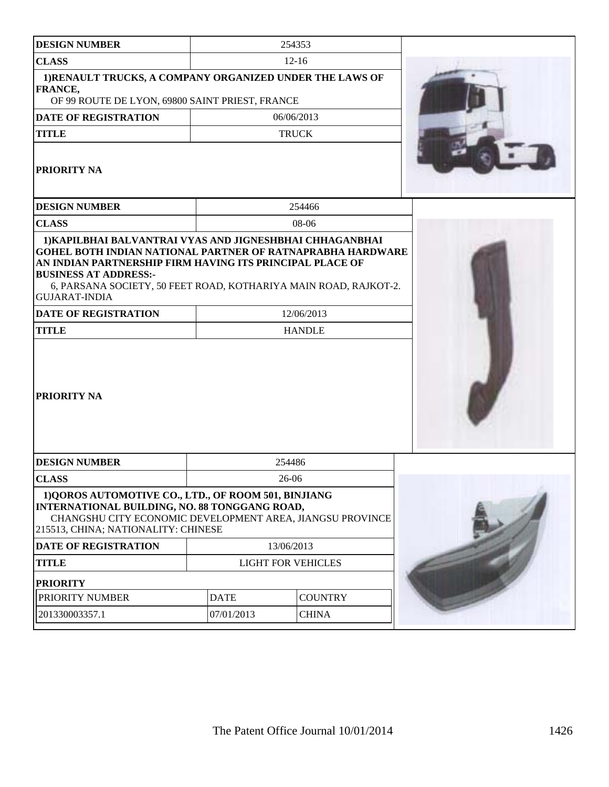| <b>DESIGN NUMBER</b>                                                                                                                                                                                                                                      |             | 254353                      |  |
|-----------------------------------------------------------------------------------------------------------------------------------------------------------------------------------------------------------------------------------------------------------|-------------|-----------------------------|--|
| <b>CLASS</b>                                                                                                                                                                                                                                              |             | $12-16$                     |  |
| 1) RENAULT TRUCKS, A COMPANY ORGANIZED UNDER THE LAWS OF<br>FRANCE,<br>OF 99 ROUTE DE LYON, 69800 SAINT PRIEST, FRANCE                                                                                                                                    |             |                             |  |
| <b>DATE OF REGISTRATION</b>                                                                                                                                                                                                                               |             | 06/06/2013                  |  |
| <b>TITLE</b>                                                                                                                                                                                                                                              |             | <b>TRUCK</b>                |  |
| PRIORITY NA                                                                                                                                                                                                                                               |             |                             |  |
| <b>DESIGN NUMBER</b>                                                                                                                                                                                                                                      |             | 254466                      |  |
| <b>CLASS</b>                                                                                                                                                                                                                                              |             | 08-06                       |  |
| AN INDIAN PARTNERSHIP FIRM HAVING ITS PRINCIPAL PLACE OF<br><b>BUSINESS AT ADDRESS:-</b><br>6, PARSANA SOCIETY, 50 FEET ROAD, KOTHARIYA MAIN ROAD, RAJKOT-2.<br><b>GUJARAT-INDIA</b><br><b>DATE OF REGISTRATION</b><br><b>TITLE</b><br><b>PRIORITY NA</b> |             | 12/06/2013<br><b>HANDLE</b> |  |
| <b>DESIGN NUMBER</b>                                                                                                                                                                                                                                      |             | 254486                      |  |
| <b>CLASS</b>                                                                                                                                                                                                                                              |             | 26-06                       |  |
| 1) QOROS AUTOMOTIVE CO., LTD., OF ROOM 501, BINJIANG<br><b>INTERNATIONAL BUILDING, NO. 88 TONGGANG ROAD,</b><br>CHANGSHU CITY ECONOMIC DEVELOPMENT AREA, JIANGSU PROVINCE<br>215513, CHINA; NATIONALITY: CHINESE                                          |             |                             |  |
| <b>DATE OF REGISTRATION</b>                                                                                                                                                                                                                               |             | 13/06/2013                  |  |
| <b>TITLE</b>                                                                                                                                                                                                                                              |             | <b>LIGHT FOR VEHICLES</b>   |  |
| <b>PRIORITY</b>                                                                                                                                                                                                                                           |             |                             |  |
| PRIORITY NUMBER                                                                                                                                                                                                                                           | <b>DATE</b> | <b>COUNTRY</b>              |  |
| 201330003357.1                                                                                                                                                                                                                                            | 07/01/2013  | <b>CHINA</b>                |  |
|                                                                                                                                                                                                                                                           |             |                             |  |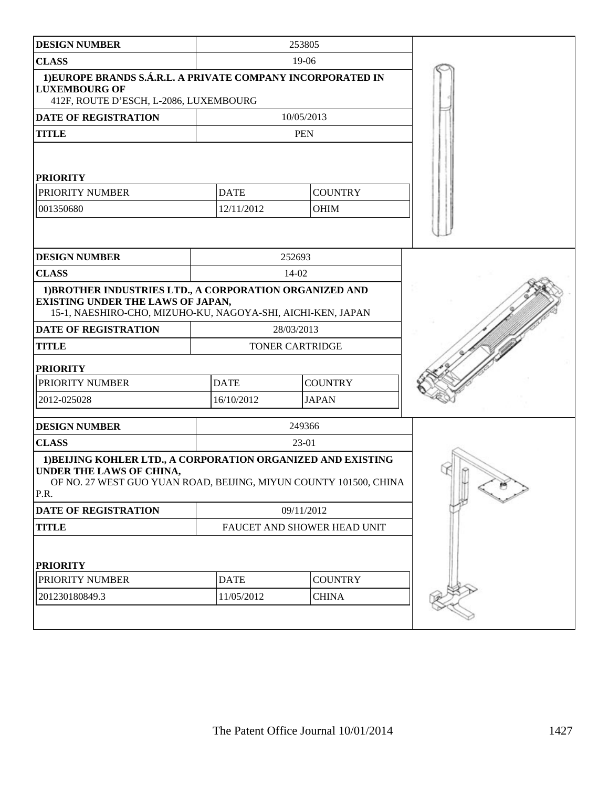| <b>DESIGN NUMBER</b>                                                                                                                                                  |                        | 253805                      |  |
|-----------------------------------------------------------------------------------------------------------------------------------------------------------------------|------------------------|-----------------------------|--|
| <b>CLASS</b>                                                                                                                                                          |                        | $19-06$                     |  |
| 1) EUROPE BRANDS S.Á.R.L. A PRIVATE COMPANY INCORPORATED IN<br><b>LUXEMBOURG OF</b><br>412F, ROUTE D'ESCH, L-2086, LUXEMBOURG                                         |                        |                             |  |
| <b>DATE OF REGISTRATION</b>                                                                                                                                           |                        | 10/05/2013                  |  |
| <b>TITLE</b>                                                                                                                                                          |                        | <b>PEN</b>                  |  |
| <b>PRIORITY</b>                                                                                                                                                       |                        |                             |  |
| PRIORITY NUMBER                                                                                                                                                       | <b>DATE</b>            | <b>COUNTRY</b>              |  |
| 001350680                                                                                                                                                             | 12/11/2012             | <b>OHIM</b>                 |  |
|                                                                                                                                                                       |                        |                             |  |
| <b>DESIGN NUMBER</b>                                                                                                                                                  |                        | 252693                      |  |
| <b>CLASS</b>                                                                                                                                                          |                        | 14-02                       |  |
| 1) BROTHER INDUSTRIES LTD., A CORPORATION ORGANIZED AND<br><b>EXISTING UNDER THE LAWS OF JAPAN,</b><br>15-1, NAESHIRO-CHO, MIZUHO-KU, NAGOYA-SHI, AICHI-KEN, JAPAN    |                        |                             |  |
| DATE OF REGISTRATION                                                                                                                                                  |                        | 28/03/2013                  |  |
| <b>TITLE</b>                                                                                                                                                          | <b>TONER CARTRIDGE</b> |                             |  |
| <b>PRIORITY</b>                                                                                                                                                       |                        |                             |  |
| PRIORITY NUMBER                                                                                                                                                       | <b>DATE</b>            | <b>COUNTRY</b>              |  |
| 2012-025028                                                                                                                                                           | 16/10/2012             | <b>JAPAN</b>                |  |
| <b>DESIGN NUMBER</b>                                                                                                                                                  |                        | 249366                      |  |
| <b>CLASS</b>                                                                                                                                                          | 23-01                  |                             |  |
| 1) BEIJING KOHLER LTD., A CORPORATION ORGANIZED AND EXISTING<br>UNDER THE LAWS OF CHINA,<br>OF NO. 27 WEST GUO YUAN ROAD, BEIJING, MIYUN COUNTY 101500, CHINA<br>P.R. |                        |                             |  |
| DATE OF REGISTRATION                                                                                                                                                  |                        | 09/11/2012                  |  |
| <b>TITLE</b>                                                                                                                                                          |                        | FAUCET AND SHOWER HEAD UNIT |  |
| <b>PRIORITY</b>                                                                                                                                                       |                        |                             |  |
| PRIORITY NUMBER                                                                                                                                                       | <b>DATE</b>            | <b>COUNTRY</b>              |  |
| 201230180849.3                                                                                                                                                        | 11/05/2012             | <b>CHINA</b>                |  |
|                                                                                                                                                                       |                        |                             |  |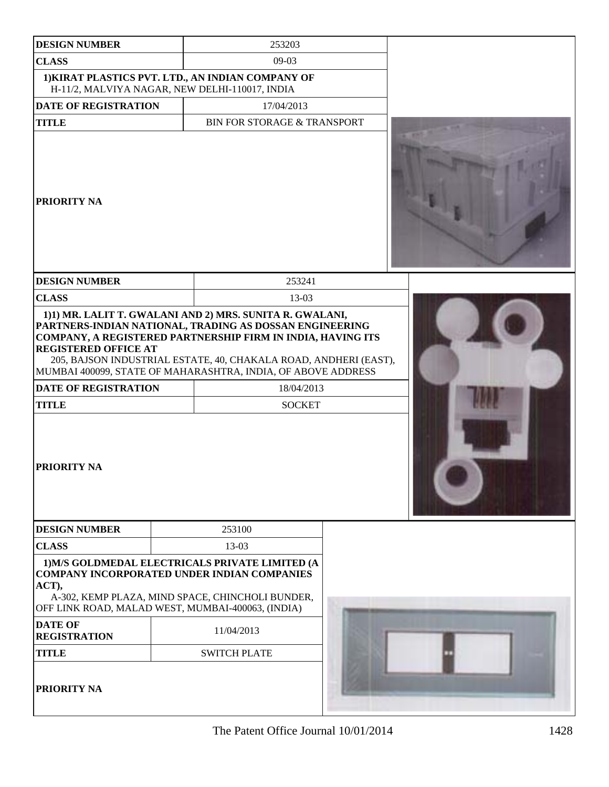| <b>DESIGN NUMBER</b>                                                                      | 253203                                                                                                                                                                                                                                                                                                                                                |  |
|-------------------------------------------------------------------------------------------|-------------------------------------------------------------------------------------------------------------------------------------------------------------------------------------------------------------------------------------------------------------------------------------------------------------------------------------------------------|--|
| <b>CLASS</b>                                                                              | $09-03$                                                                                                                                                                                                                                                                                                                                               |  |
|                                                                                           |                                                                                                                                                                                                                                                                                                                                                       |  |
| H-11/2, MALVIYA NAGAR, NEW DELHI-110017, INDIA                                            | 1) KIRAT PLASTICS PVT. LTD., AN INDIAN COMPANY OF                                                                                                                                                                                                                                                                                                     |  |
| <b>DATE OF REGISTRATION</b>                                                               | 17/04/2013                                                                                                                                                                                                                                                                                                                                            |  |
| <b>TITLE</b>                                                                              | <b>BIN FOR STORAGE &amp; TRANSPORT</b>                                                                                                                                                                                                                                                                                                                |  |
| PRIORITY NA                                                                               |                                                                                                                                                                                                                                                                                                                                                       |  |
| <b>DESIGN NUMBER</b>                                                                      | 253241                                                                                                                                                                                                                                                                                                                                                |  |
| <b>CLASS</b>                                                                              | 13-03                                                                                                                                                                                                                                                                                                                                                 |  |
| <b>REGISTERED OFFICE AT</b><br><b>DATE OF REGISTRATION</b><br><b>TITLE</b><br>PRIORITY NA | 1)1) MR. LALIT T. GWALANI AND 2) MRS. SUNITA R. GWALANI,<br>PARTNERS-INDIAN NATIONAL, TRADING AS DOSSAN ENGINEERING<br>COMPANY, A REGISTERED PARTNERSHIP FIRM IN INDIA, HAVING ITS<br>205, BAJSON INDUSTRIAL ESTATE, 40, CHAKALA ROAD, ANDHERI (EAST),<br>MUMBAI 400099, STATE OF MAHARASHTRA, INDIA, OF ABOVE ADDRESS<br>18/04/2013<br><b>SOCKET</b> |  |
| <b>DESIGN NUMBER</b>                                                                      | 253100                                                                                                                                                                                                                                                                                                                                                |  |
| <b>CLASS</b>                                                                              | 13-03                                                                                                                                                                                                                                                                                                                                                 |  |
| ACT),<br>OFF LINK ROAD, MALAD WEST, MUMBAI-400063, (INDIA)                                | 1) M/S GOLDMEDAL ELECTRICALS PRIVATE LIMITED (A<br><b>COMPANY INCORPORATED UNDER INDIAN COMPANIES</b><br>A-302, KEMP PLAZA, MIND SPACE, CHINCHOLI BUNDER,                                                                                                                                                                                             |  |
| <b>DATE OF</b><br><b>REGISTRATION</b>                                                     | 11/04/2013                                                                                                                                                                                                                                                                                                                                            |  |
| <b>TITLE</b>                                                                              | <b>SWITCH PLATE</b>                                                                                                                                                                                                                                                                                                                                   |  |
| PRIORITY NA                                                                               |                                                                                                                                                                                                                                                                                                                                                       |  |

The Patent Office Journal  $10/01/2014$  1428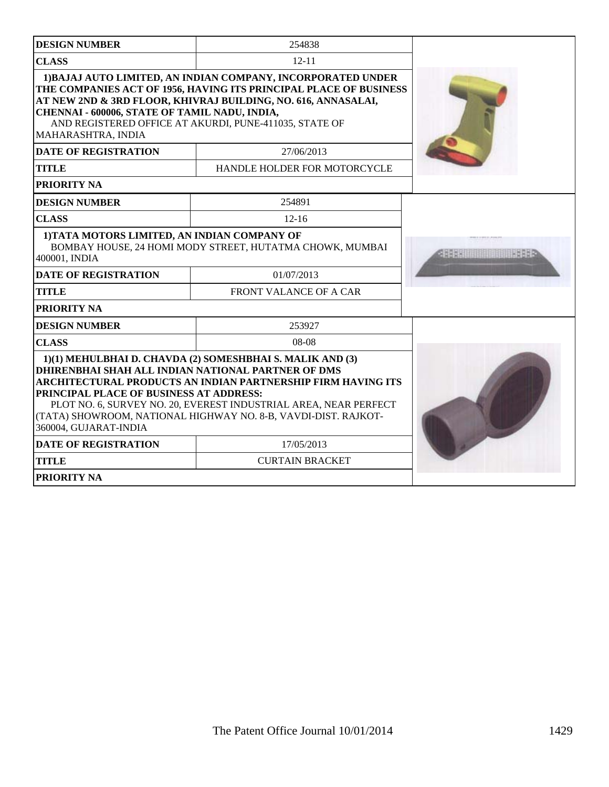| <b>DESIGN NUMBER</b>                                                                                                   | 254838                                                                                                                                                                                                                                                          |                            |
|------------------------------------------------------------------------------------------------------------------------|-----------------------------------------------------------------------------------------------------------------------------------------------------------------------------------------------------------------------------------------------------------------|----------------------------|
| <b>CLASS</b>                                                                                                           | $12 - 11$                                                                                                                                                                                                                                                       |                            |
| CHENNAI - 600006, STATE OF TAMIL NADU, INDIA,<br>MAHARASHTRA, INDIA                                                    | 1) BAJAJ AUTO LIMITED, AN INDIAN COMPANY, INCORPORATED UNDER<br>THE COMPANIES ACT OF 1956, HAVING ITS PRINCIPAL PLACE OF BUSINESS<br>AT NEW 2ND & 3RD FLOOR, KHIVRAJ BUILDING, NO. 616, ANNASALAI,<br>AND REGISTERED OFFICE AT AKURDI, PUNE-411035, STATE OF    |                            |
| <b>DATE OF REGISTRATION</b>                                                                                            | 27/06/2013                                                                                                                                                                                                                                                      |                            |
| <b>TITLE</b>                                                                                                           | HANDLE HOLDER FOR MOTORCYCLE                                                                                                                                                                                                                                    |                            |
| PRIORITY NA                                                                                                            |                                                                                                                                                                                                                                                                 |                            |
| <b>DESIGN NUMBER</b>                                                                                                   | 254891                                                                                                                                                                                                                                                          |                            |
| <b>CLASS</b>                                                                                                           | $12 - 16$                                                                                                                                                                                                                                                       |                            |
| 1) TATA MOTORS LIMITED, AN INDIAN COMPANY OF<br>400001, INDIA                                                          | BOMBAY HOUSE, 24 HOMI MODY STREET, HUTATMA CHOWK, MUMBAI                                                                                                                                                                                                        | ABA SATURI BIRI BIRI BERBA |
| <b>DATE OF REGISTRATION</b>                                                                                            | 01/07/2013                                                                                                                                                                                                                                                      |                            |
| <b>TITLE</b>                                                                                                           | FRONT VALANCE OF A CAR                                                                                                                                                                                                                                          |                            |
| PRIORITY NA                                                                                                            |                                                                                                                                                                                                                                                                 |                            |
| <b>DESIGN NUMBER</b>                                                                                                   | 253927                                                                                                                                                                                                                                                          |                            |
| <b>CLASS</b>                                                                                                           | $08-08$                                                                                                                                                                                                                                                         |                            |
| DHIRENBHAI SHAH ALL INDIAN NATIONAL PARTNER OF DMS<br>PRINCIPAL PLACE OF BUSINESS AT ADDRESS:<br>360004, GUJARAT-INDIA | 1)(1) MEHULBHAI D. CHAVDA (2) SOMESHBHAI S. MALIK AND (3)<br>ARCHITECTURAL PRODUCTS AN INDIAN PARTNERSHIP FIRM HAVING ITS<br>PLOT NO. 6, SURVEY NO. 20, EVEREST INDUSTRIAL AREA, NEAR PERFECT<br>(TATA) SHOWROOM, NATIONAL HIGHWAY NO. 8-B, VAVDI-DIST. RAJKOT- |                            |
| <b>DATE OF REGISTRATION</b>                                                                                            | 17/05/2013                                                                                                                                                                                                                                                      |                            |
| <b>TITLE</b>                                                                                                           | <b>CURTAIN BRACKET</b>                                                                                                                                                                                                                                          |                            |
| PRIORITY NA                                                                                                            |                                                                                                                                                                                                                                                                 |                            |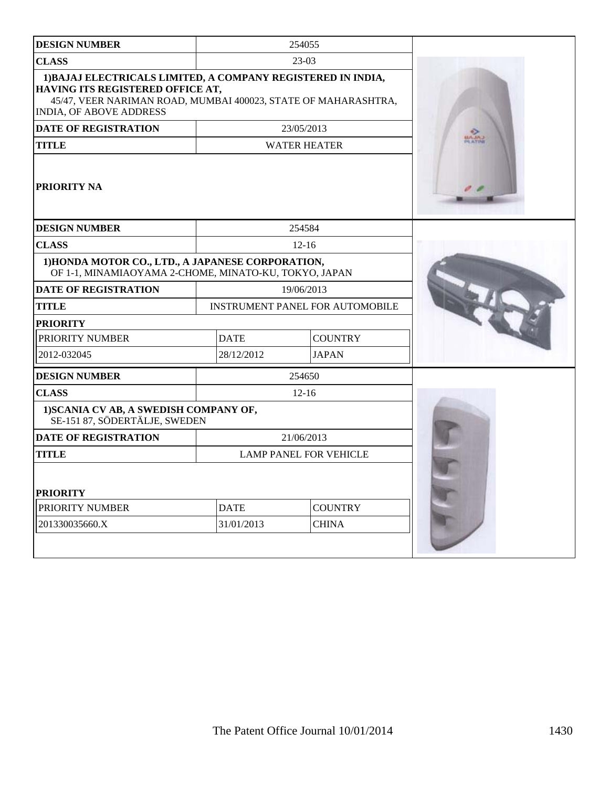| <b>DESIGN NUMBER</b>                                                                                                                                                                          |             | 254055                                 |  |
|-----------------------------------------------------------------------------------------------------------------------------------------------------------------------------------------------|-------------|----------------------------------------|--|
| <b>CLASS</b>                                                                                                                                                                                  |             | 23-03                                  |  |
| 1) BAJAJ ELECTRICALS LIMITED, A COMPANY REGISTERED IN INDIA,<br>HAVING ITS REGISTERED OFFICE AT,<br>45/47, VEER NARIMAN ROAD, MUMBAI 400023, STATE OF MAHARASHTRA,<br>INDIA, OF ABOVE ADDRESS |             |                                        |  |
| <b>DATE OF REGISTRATION</b>                                                                                                                                                                   |             | 23/05/2013                             |  |
| <b>TITLE</b>                                                                                                                                                                                  |             | <b>WATER HEATER</b>                    |  |
| <b>PRIORITY NA</b>                                                                                                                                                                            |             |                                        |  |
| <b>DESIGN NUMBER</b>                                                                                                                                                                          |             | 254584                                 |  |
| <b>CLASS</b>                                                                                                                                                                                  |             | $12 - 16$                              |  |
| 1) HONDA MOTOR CO., LTD., A JAPANESE CORPORATION,<br>OF 1-1, MINAMIAOYAMA 2-CHOME, MINATO-KU, TOKYO, JAPAN                                                                                    |             |                                        |  |
| <b>DATE OF REGISTRATION</b>                                                                                                                                                                   |             | 19/06/2013                             |  |
| <b>TITLE</b>                                                                                                                                                                                  |             | <b>INSTRUMENT PANEL FOR AUTOMOBILE</b> |  |
| <b>PRIORITY</b>                                                                                                                                                                               |             |                                        |  |
| PRIORITY NUMBER                                                                                                                                                                               | <b>DATE</b> | <b>COUNTRY</b>                         |  |
| 2012-032045                                                                                                                                                                                   | 28/12/2012  | <b>JAPAN</b>                           |  |
| <b>DESIGN NUMBER</b>                                                                                                                                                                          |             | 254650                                 |  |
| <b>CLASS</b>                                                                                                                                                                                  |             | $12 - 16$                              |  |
| 1) SCANIA CV AB, A SWEDISH COMPANY OF,<br>SE-151 87, SÖDERTÄLJE, SWEDEN                                                                                                                       |             |                                        |  |
| <b>DATE OF REGISTRATION</b>                                                                                                                                                                   |             | 21/06/2013                             |  |
| <b>TITLE</b>                                                                                                                                                                                  |             | <b>LAMP PANEL FOR VEHICLE</b>          |  |
| <b>PRIORITY</b>                                                                                                                                                                               |             |                                        |  |
| PRIORITY NUMBER                                                                                                                                                                               | <b>DATE</b> | <b>COUNTRY</b>                         |  |
| 201330035660.X                                                                                                                                                                                | 31/01/2013  | <b>CHINA</b>                           |  |
|                                                                                                                                                                                               |             |                                        |  |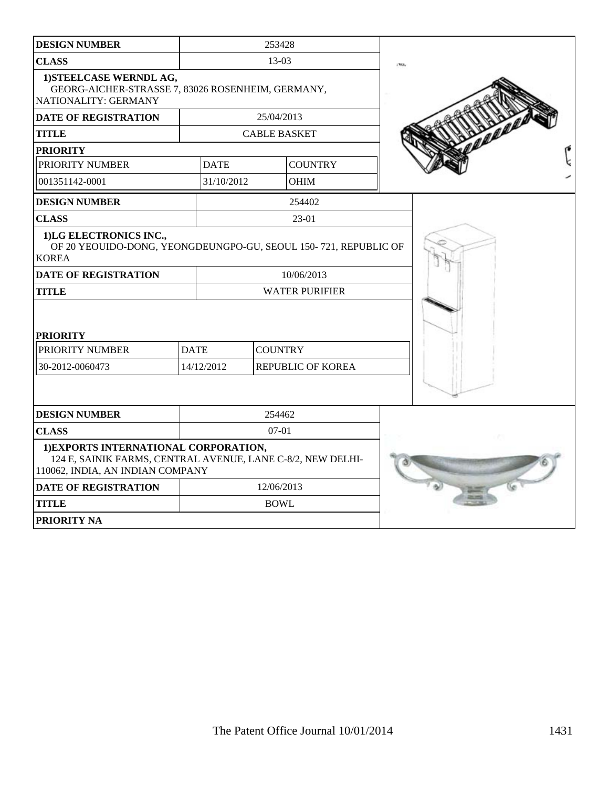| <b>DESIGN NUMBER</b>                                                                                                                     |             | 253428                   |  |  |
|------------------------------------------------------------------------------------------------------------------------------------------|-------------|--------------------------|--|--|
| <b>CLASS</b>                                                                                                                             |             | 13-03                    |  |  |
| 1) STEELCASE WERNDL AG,<br>GEORG-AICHER-STRASSE 7, 83026 ROSENHEIM, GERMANY,<br>NATIONALITY: GERMANY                                     |             |                          |  |  |
| <b>DATE OF REGISTRATION</b>                                                                                                              |             | 25/04/2013               |  |  |
| <b>TITLE</b>                                                                                                                             |             | <b>CABLE BASKET</b>      |  |  |
| <b>PRIORITY</b>                                                                                                                          |             |                          |  |  |
| PRIORITY NUMBER                                                                                                                          | <b>DATE</b> | <b>COUNTRY</b>           |  |  |
| 001351142-0001                                                                                                                           | 31/10/2012  | <b>OHIM</b>              |  |  |
| <b>DESIGN NUMBER</b>                                                                                                                     |             | 254402                   |  |  |
| <b>CLASS</b>                                                                                                                             |             | 23-01                    |  |  |
| 1)LG ELECTRONICS INC.,<br>OF 20 YEOUIDO-DONG, YEONGDEUNGPO-GU, SEOUL 150-721, REPUBLIC OF<br><b>KOREA</b>                                |             |                          |  |  |
| <b>DATE OF REGISTRATION</b>                                                                                                              |             | 10/06/2013               |  |  |
| <b>TITLE</b><br><b>PRIORITY</b>                                                                                                          |             | <b>WATER PURIFIER</b>    |  |  |
| PRIORITY NUMBER                                                                                                                          | <b>DATE</b> | <b>COUNTRY</b>           |  |  |
| 30-2012-0060473                                                                                                                          | 14/12/2012  | <b>REPUBLIC OF KOREA</b> |  |  |
|                                                                                                                                          |             |                          |  |  |
| <b>DESIGN NUMBER</b>                                                                                                                     |             | 254462                   |  |  |
| <b>CLASS</b>                                                                                                                             |             | $07 - 01$                |  |  |
| 1) EXPORTS INTERNATIONAL CORPORATION,<br>124 E, SAINIK FARMS, CENTRAL AVENUE, LANE C-8/2, NEW DELHI-<br>110062, INDIA, AN INDIAN COMPANY |             |                          |  |  |
| <b>DATE OF REGISTRATION</b>                                                                                                              |             | 12/06/2013               |  |  |
| <b>TITLE</b>                                                                                                                             |             | <b>BOWL</b>              |  |  |
| <b>PRIORITY NA</b>                                                                                                                       |             |                          |  |  |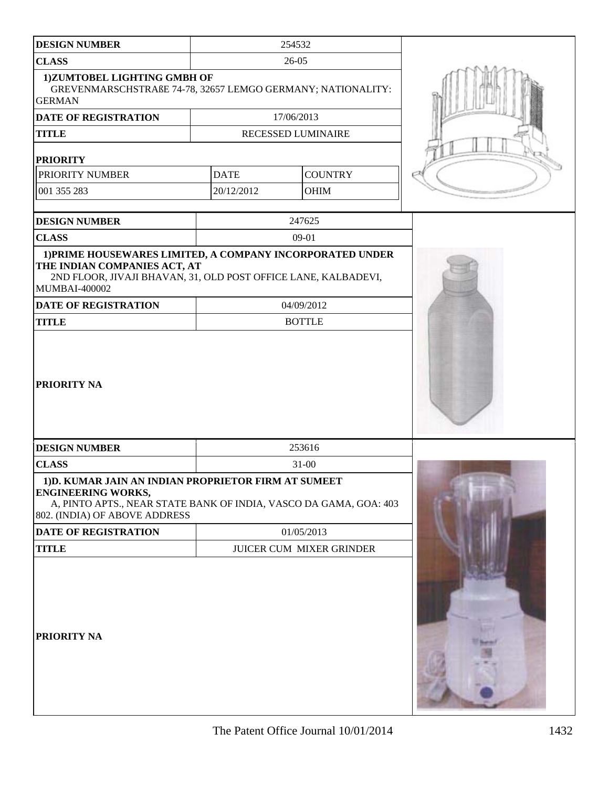| <b>DESIGN NUMBER</b>                                                                                                                                                                    |             | 254532                   |  |
|-----------------------------------------------------------------------------------------------------------------------------------------------------------------------------------------|-------------|--------------------------|--|
| <b>CLASS</b>                                                                                                                                                                            |             | 26-05                    |  |
| 1) ZUMTOBEL LIGHTING GMBH OF<br>GREVENMARSCHSTRAßE 74-78, 32657 LEMGO GERMANY; NATIONALITY:<br><b>GERMAN</b>                                                                            |             |                          |  |
| <b>DATE OF REGISTRATION</b>                                                                                                                                                             |             | 17/06/2013               |  |
| <b>TITLE</b>                                                                                                                                                                            |             | RECESSED LUMINAIRE       |  |
| <b>PRIORITY</b>                                                                                                                                                                         |             |                          |  |
| PRIORITY NUMBER                                                                                                                                                                         | <b>DATE</b> | <b>COUNTRY</b>           |  |
| 001 355 283                                                                                                                                                                             | 20/12/2012  | <b>OHIM</b>              |  |
|                                                                                                                                                                                         |             |                          |  |
| <b>DESIGN NUMBER</b>                                                                                                                                                                    |             | 247625                   |  |
| <b>CLASS</b>                                                                                                                                                                            |             | 09-01                    |  |
| THE INDIAN COMPANIES ACT, AT<br>2ND FLOOR, JIVAJI BHAVAN, 31, OLD POST OFFICE LANE, KALBADEVI,<br><b>MUMBAI-400002</b>                                                                  |             | 04/09/2012               |  |
| DATE OF REGISTRATION<br><b>TITLE</b>                                                                                                                                                    |             | <b>BOTTLE</b>            |  |
|                                                                                                                                                                                         |             |                          |  |
| <b>DESIGN NUMBER</b>                                                                                                                                                                    |             | 253616                   |  |
| <b>CLASS</b>                                                                                                                                                                            |             | 31-00                    |  |
| 1) D. KUMAR JAIN AN INDIAN PROPRIETOR FIRM AT SUMEET<br><b>ENGINEERING WORKS,</b><br>A, PINTO APTS., NEAR STATE BANK OF INDIA, VASCO DA GAMA, GOA: 403<br>802. (INDIA) OF ABOVE ADDRESS |             |                          |  |
| DATE OF REGISTRATION                                                                                                                                                                    | 01/05/2013  |                          |  |
| <b>TITLE</b>                                                                                                                                                                            |             | JUICER CUM MIXER GRINDER |  |
|                                                                                                                                                                                         |             |                          |  |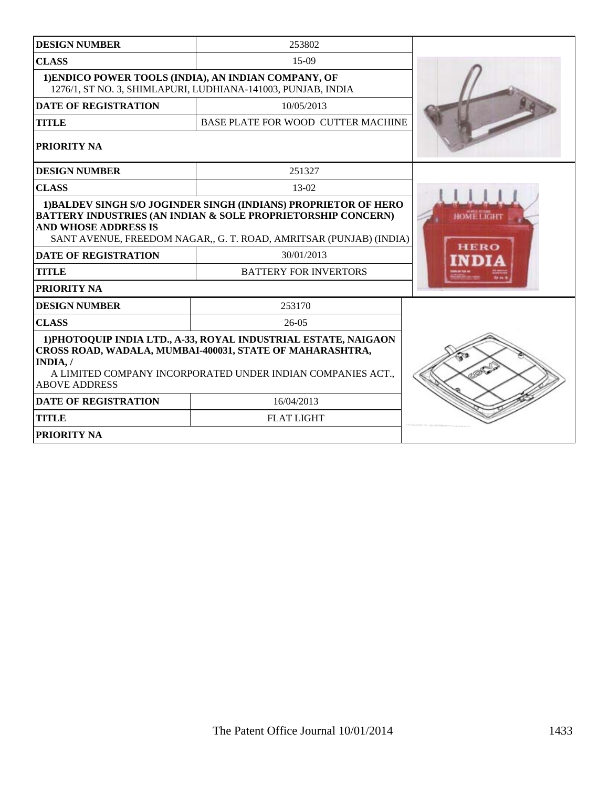| <b>DESIGN NUMBER</b>                                                                                                                                                                                                           | 253802                                                                                                                                                                                                                                                         |                                  |
|--------------------------------------------------------------------------------------------------------------------------------------------------------------------------------------------------------------------------------|----------------------------------------------------------------------------------------------------------------------------------------------------------------------------------------------------------------------------------------------------------------|----------------------------------|
| <b>CLASS</b>                                                                                                                                                                                                                   | $15-09$                                                                                                                                                                                                                                                        |                                  |
| 1) ENDICO POWER TOOLS (INDIA), AN INDIAN COMPANY, OF<br>1276/1, ST NO. 3, SHIMLAPURI, LUDHIANA-141003, PUNJAB, INDIA                                                                                                           |                                                                                                                                                                                                                                                                |                                  |
| <b>DATE OF REGISTRATION</b>                                                                                                                                                                                                    | 10/05/2013                                                                                                                                                                                                                                                     |                                  |
| <b>TITLE</b>                                                                                                                                                                                                                   | BASE PLATE FOR WOOD CUTTER MACHINE                                                                                                                                                                                                                             |                                  |
| <b>PRIORITY NA</b>                                                                                                                                                                                                             |                                                                                                                                                                                                                                                                |                                  |
| <b>DESIGN NUMBER</b>                                                                                                                                                                                                           | 251327                                                                                                                                                                                                                                                         |                                  |
| <b>CLASS</b>                                                                                                                                                                                                                   | 13-02                                                                                                                                                                                                                                                          |                                  |
| <b>AND WHOSE ADDRESS IS</b><br><b>DATE OF REGISTRATION</b><br><b>TITLE</b><br><b>PRIORITY NA</b>                                                                                                                               | 1) BALDEV SINGH S/O JOGINDER SINGH (INDIANS) PROPRIETOR OF HERO<br><b>BATTERY INDUSTRIES (AN INDIAN &amp; SOLE PROPRIETORSHIP CONCERN)</b><br>SANT AVENUE, FREEDOM NAGAR,, G. T. ROAD, AMRITSAR (PUNJAB) (INDIA)<br>30/01/2013<br><b>BATTERY FOR INVERTORS</b> | <b>HOME LIGHT</b><br><b>HERO</b> |
| <b>DESIGN NUMBER</b>                                                                                                                                                                                                           | 253170                                                                                                                                                                                                                                                         |                                  |
| <b>CLASS</b>                                                                                                                                                                                                                   | $26-05$                                                                                                                                                                                                                                                        |                                  |
| 1) PHOTOQUIP INDIA LTD., A-33, ROYAL INDUSTRIAL ESTATE, NAIGAON<br>CROSS ROAD, WADALA, MUMBAI-400031, STATE OF MAHARASHTRA,<br>INDIA, /<br>A LIMITED COMPANY INCORPORATED UNDER INDIAN COMPANIES ACT.,<br><b>ABOVE ADDRESS</b> |                                                                                                                                                                                                                                                                |                                  |
| <b>DATE OF REGISTRATION</b>                                                                                                                                                                                                    | 16/04/2013                                                                                                                                                                                                                                                     |                                  |
| <b>TITLE</b>                                                                                                                                                                                                                   | <b>FLAT LIGHT</b>                                                                                                                                                                                                                                              |                                  |
| <b>PRIORITY NA</b>                                                                                                                                                                                                             |                                                                                                                                                                                                                                                                |                                  |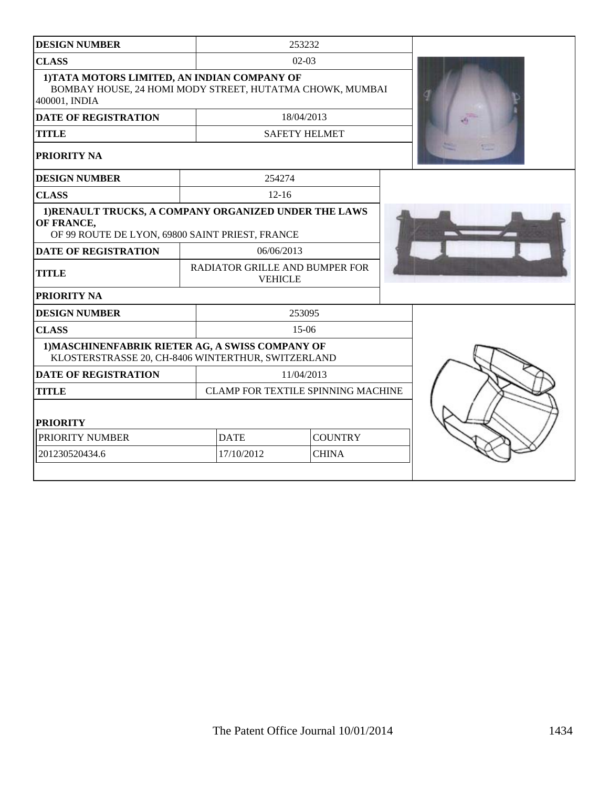| <b>DESIGN NUMBER</b>                                                                                                      |  |                                                  | 253232               |  |  |
|---------------------------------------------------------------------------------------------------------------------------|--|--------------------------------------------------|----------------------|--|--|
| <b>CLASS</b>                                                                                                              |  | $02-03$                                          |                      |  |  |
| 1) TATA MOTORS LIMITED, AN INDIAN COMPANY OF<br>BOMBAY HOUSE, 24 HOMI MODY STREET, HUTATMA CHOWK, MUMBAI<br>400001, INDIA |  |                                                  |                      |  |  |
| <b>DATE OF REGISTRATION</b>                                                                                               |  |                                                  | 18/04/2013           |  |  |
| <b>TITLE</b>                                                                                                              |  |                                                  | <b>SAFETY HELMET</b> |  |  |
| PRIORITY NA                                                                                                               |  |                                                  |                      |  |  |
| <b>DESIGN NUMBER</b>                                                                                                      |  | 254274                                           |                      |  |  |
| <b>CLASS</b>                                                                                                              |  | $12 - 16$                                        |                      |  |  |
| 1) RENAULT TRUCKS, A COMPANY ORGANIZED UNDER THE LAWS<br>OF FRANCE,<br>OF 99 ROUTE DE LYON, 69800 SAINT PRIEST, FRANCE    |  |                                                  |                      |  |  |
| <b>DATE OF REGISTRATION</b>                                                                                               |  | 06/06/2013                                       |                      |  |  |
| <b>TITLE</b>                                                                                                              |  | RADIATOR GRILLE AND BUMPER FOR<br><b>VEHICLE</b> |                      |  |  |
| PRIORITY NA                                                                                                               |  |                                                  |                      |  |  |
| <b>DESIGN NUMBER</b>                                                                                                      |  |                                                  | 253095               |  |  |
| <b>CLASS</b>                                                                                                              |  | $15-06$                                          |                      |  |  |
| 1) MASCHINENFABRIK RIETER AG, A SWISS COMPANY OF<br>KLOSTERSTRASSE 20, CH-8406 WINTERTHUR, SWITZERLAND                    |  |                                                  |                      |  |  |
| <b>DATE OF REGISTRATION</b>                                                                                               |  | 11/04/2013                                       |                      |  |  |
| <b>TITLE</b>                                                                                                              |  | CLAMP FOR TEXTILE SPINNING MACHINE               |                      |  |  |
| <b>PRIORITY</b>                                                                                                           |  |                                                  |                      |  |  |
| PRIORITY NUMBER                                                                                                           |  | <b>DATE</b>                                      | <b>COUNTRY</b>       |  |  |
| 201230520434.6                                                                                                            |  | 17/10/2012                                       | <b>CHINA</b>         |  |  |
|                                                                                                                           |  |                                                  |                      |  |  |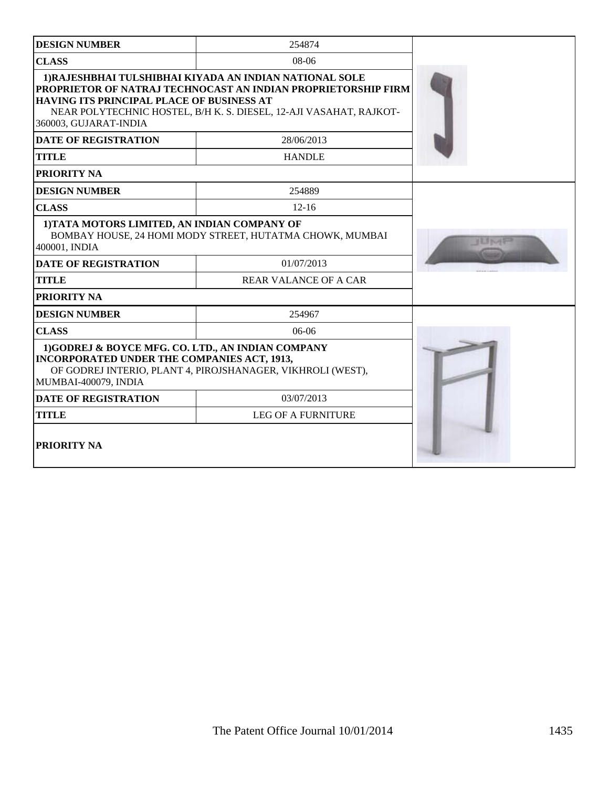| <b>DESIGN NUMBER</b>                                                                                                            | 254874                                                                                                                                                                                         |       |
|---------------------------------------------------------------------------------------------------------------------------------|------------------------------------------------------------------------------------------------------------------------------------------------------------------------------------------------|-------|
| <b>CLASS</b>                                                                                                                    | $08-06$                                                                                                                                                                                        |       |
| HAVING ITS PRINCIPAL PLACE OF BUSINESS AT<br>360003, GUJARAT-INDIA                                                              | 1) RAJESHBHAI TULSHIBHAI KIYADA AN INDIAN NATIONAL SOLE<br>PROPRIETOR OF NATRAJ TECHNOCAST AN INDIAN PROPRIETORSHIP FIRM<br>NEAR POLYTECHNIC HOSTEL, B/H K. S. DIESEL, 12-AJI VASAHAT, RAJKOT- |       |
| <b>DATE OF REGISTRATION</b>                                                                                                     | 28/06/2013                                                                                                                                                                                     |       |
| <b>TITLE</b>                                                                                                                    | <b>HANDLE</b>                                                                                                                                                                                  |       |
| PRIORITY NA                                                                                                                     |                                                                                                                                                                                                |       |
| <b>DESIGN NUMBER</b>                                                                                                            | 254889                                                                                                                                                                                         |       |
| <b>CLASS</b>                                                                                                                    | $12 - 16$                                                                                                                                                                                      |       |
| 1) TATA MOTORS LIMITED, AN INDIAN COMPANY OF<br>400001, INDIA                                                                   | BOMBAY HOUSE, 24 HOMI MODY STREET, HUTATMA CHOWK, MUMBAI                                                                                                                                       | はむすめし |
| <b>DATE OF REGISTRATION</b>                                                                                                     | 01/07/2013                                                                                                                                                                                     |       |
| <b>TITLE</b>                                                                                                                    | <b>REAR VALANCE OF A CAR</b>                                                                                                                                                                   |       |
| PRIORITY NA                                                                                                                     |                                                                                                                                                                                                |       |
| <b>DESIGN NUMBER</b>                                                                                                            | 254967                                                                                                                                                                                         |       |
| <b>CLASS</b>                                                                                                                    | $06-06$                                                                                                                                                                                        |       |
| 1)GODREJ & BOYCE MFG. CO. LTD., AN INDIAN COMPANY<br><b>INCORPORATED UNDER THE COMPANIES ACT, 1913,</b><br>MUMBAI-400079, INDIA | OF GODREJ INTERIO, PLANT 4, PIROJSHANAGER, VIKHROLI (WEST),                                                                                                                                    |       |
| <b>DATE OF REGISTRATION</b>                                                                                                     | 03/07/2013                                                                                                                                                                                     |       |
| <b>TITLE</b>                                                                                                                    | <b>LEG OF A FURNITURE</b>                                                                                                                                                                      |       |
| PRIORITY NA                                                                                                                     |                                                                                                                                                                                                |       |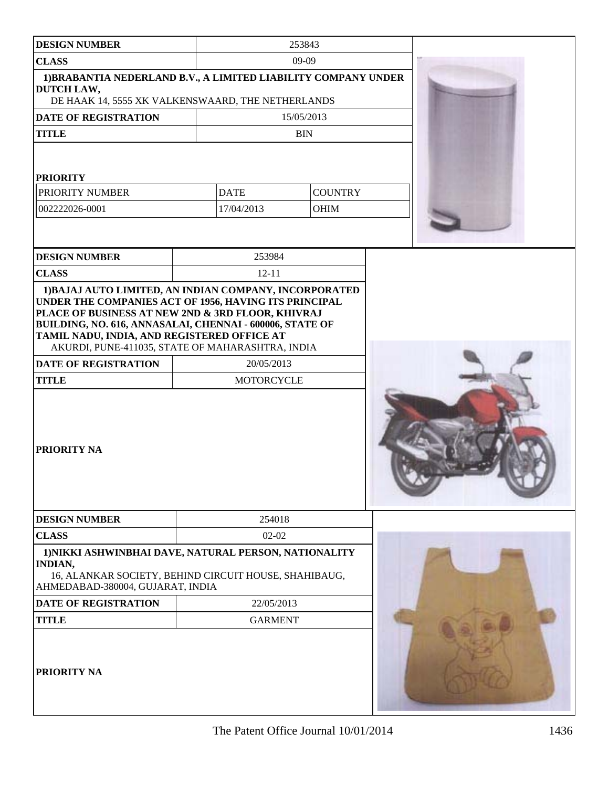| <b>DESIGN NUMBER</b>                                                                                                                                                                                                  |                                                       | 253843                        |  |
|-----------------------------------------------------------------------------------------------------------------------------------------------------------------------------------------------------------------------|-------------------------------------------------------|-------------------------------|--|
| <b>CLASS</b>                                                                                                                                                                                                          | $09-09$                                               |                               |  |
| 1) BRABANTIA NEDERLAND B.V., A LIMITED LIABILITY COMPANY UNDER<br>DUTCH LAW,<br>DE HAAK 14, 5555 XK VALKENSWAARD, THE NETHERLANDS                                                                                     |                                                       |                               |  |
| DATE OF REGISTRATION                                                                                                                                                                                                  |                                                       | 15/05/2013                    |  |
| <b>TITLE</b>                                                                                                                                                                                                          |                                                       | <b>BIN</b>                    |  |
| <b>PRIORITY</b><br>PRIORITY NUMBER<br>002222026-0001                                                                                                                                                                  | <b>DATE</b><br>17/04/2013                             | <b>COUNTRY</b><br><b>OHIM</b> |  |
| <b>DESIGN NUMBER</b>                                                                                                                                                                                                  | 253984                                                |                               |  |
| <b>CLASS</b>                                                                                                                                                                                                          | $12 - 11$                                             |                               |  |
| 1) BAJAJ AUTO LIMITED, AN INDIAN COMPANY, INCORPORATED                                                                                                                                                                |                                                       |                               |  |
| UNDER THE COMPANIES ACT OF 1956, HAVING ITS PRINCIPAL<br>PLACE OF BUSINESS AT NEW 2ND & 3RD FLOOR, KHIVRAJ<br>BUILDING, NO. 616, ANNASALAI, CHENNAI - 600006, STATE OF<br>TAMIL NADU, INDIA, AND REGISTERED OFFICE AT | AKURDI, PUNE-411035, STATE OF MAHARASHTRA, INDIA      |                               |  |
| <b>DATE OF REGISTRATION</b>                                                                                                                                                                                           | 20/05/2013                                            |                               |  |
| <b>TITLE</b><br>PRIORITY NA                                                                                                                                                                                           | <b>MOTORCYCLE</b>                                     |                               |  |
| <b>DESIGN NUMBER</b>                                                                                                                                                                                                  | 254018                                                |                               |  |
| <b>CLASS</b>                                                                                                                                                                                                          | $02-02$                                               |                               |  |
| 1) NIKKI ASHWINBHAI DAVE, NATURAL PERSON, NATIONALITY<br><b>INDIAN,</b><br>AHMEDABAD-380004, GUJARAT, INDIA                                                                                                           | 16, ALANKAR SOCIETY, BEHIND CIRCUIT HOUSE, SHAHIBAUG, |                               |  |
| <b>DATE OF REGISTRATION</b>                                                                                                                                                                                           | 22/05/2013                                            |                               |  |
| <b>TITLE</b>                                                                                                                                                                                                          | <b>GARMENT</b>                                        |                               |  |
| PRIORITY NA                                                                                                                                                                                                           |                                                       |                               |  |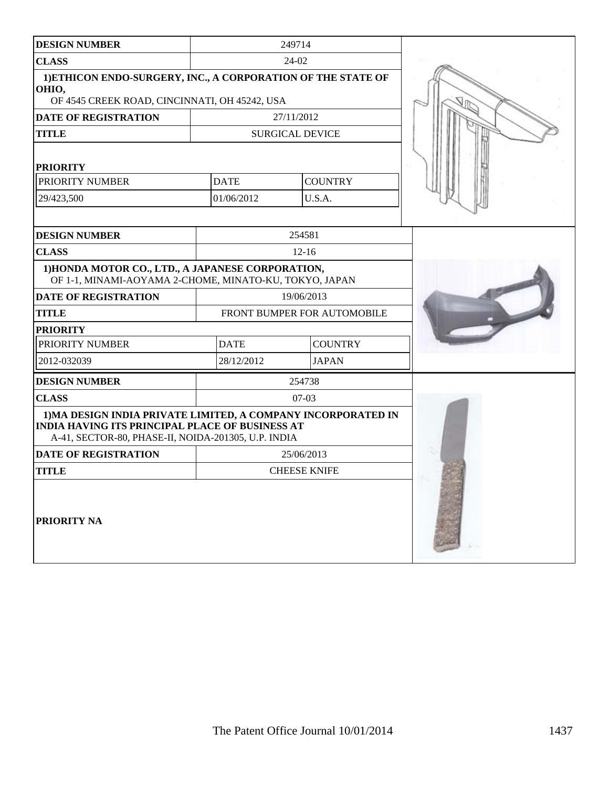| <b>DESIGN NUMBER</b>                                                                                                                                                           |                             | 249714                 |  |
|--------------------------------------------------------------------------------------------------------------------------------------------------------------------------------|-----------------------------|------------------------|--|
| <b>CLASS</b>                                                                                                                                                                   |                             | 24-02                  |  |
| 1) ETHICON ENDO-SURGERY, INC., A CORPORATION OF THE STATE OF<br>OHIO,<br>OF 4545 CREEK ROAD, CINCINNATI, OH 45242, USA                                                         |                             |                        |  |
| DATE OF REGISTRATION                                                                                                                                                           |                             | 27/11/2012             |  |
| <b>TITLE</b>                                                                                                                                                                   |                             | <b>SURGICAL DEVICE</b> |  |
| <b>PRIORITY</b>                                                                                                                                                                |                             |                        |  |
| PRIORITY NUMBER                                                                                                                                                                | <b>DATE</b>                 | <b>COUNTRY</b>         |  |
| 29/423,500                                                                                                                                                                     | 01/06/2012                  | U.S.A.                 |  |
|                                                                                                                                                                                |                             |                        |  |
| <b>DESIGN NUMBER</b>                                                                                                                                                           |                             | 254581                 |  |
| <b>CLASS</b>                                                                                                                                                                   |                             | $12 - 16$              |  |
| 1) HONDA MOTOR CO., LTD., A JAPANESE CORPORATION,<br>OF 1-1, MINAMI-AOYAMA 2-CHOME, MINATO-KU, TOKYO, JAPAN                                                                    |                             |                        |  |
| <b>DATE OF REGISTRATION</b>                                                                                                                                                    |                             | 19/06/2013             |  |
| <b>TITLE</b>                                                                                                                                                                   | FRONT BUMPER FOR AUTOMOBILE |                        |  |
| <b>PRIORITY</b>                                                                                                                                                                |                             |                        |  |
| PRIORITY NUMBER                                                                                                                                                                | <b>DATE</b>                 | <b>COUNTRY</b>         |  |
| 2012-032039                                                                                                                                                                    | 28/12/2012                  | <b>JAPAN</b>           |  |
| <b>DESIGN NUMBER</b>                                                                                                                                                           |                             | 254738                 |  |
| <b>CLASS</b>                                                                                                                                                                   |                             | $07-03$                |  |
| 1) MA DESIGN INDIA PRIVATE LIMITED, A COMPANY INCORPORATED IN<br><b>INDIA HAVING ITS PRINCIPAL PLACE OF BUSINESS AT</b><br>A-41, SECTOR-80, PHASE-II, NOIDA-201305, U.P. INDIA |                             |                        |  |
| <b>DATE OF REGISTRATION</b>                                                                                                                                                    |                             | 25/06/2013             |  |
| <b>TITLE</b>                                                                                                                                                                   |                             | <b>CHEESE KNIFE</b>    |  |
| PRIORITY NA                                                                                                                                                                    |                             |                        |  |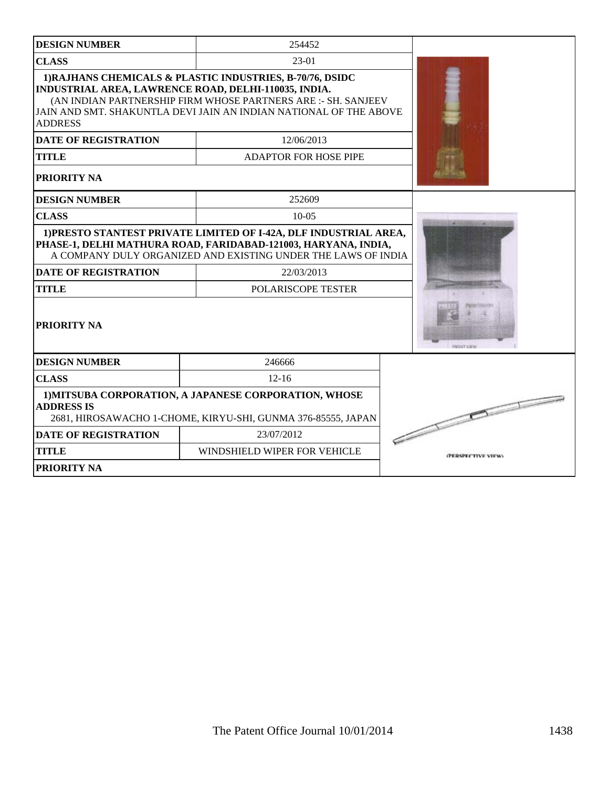| <b>DESIGN NUMBER</b>                                                                                                                                                                                                                                                      | 254452                       |                    |
|---------------------------------------------------------------------------------------------------------------------------------------------------------------------------------------------------------------------------------------------------------------------------|------------------------------|--------------------|
| <b>CLASS</b>                                                                                                                                                                                                                                                              | $23-01$                      |                    |
| 1) RAJHANS CHEMICALS & PLASTIC INDUSTRIES, B-70/76, DSIDC<br>INDUSTRIAL AREA, LAWRENCE ROAD, DELHI-110035, INDIA.<br>(AN INDIAN PARTNERSHIP FIRM WHOSE PARTNERS ARE :- SH. SANJEEV<br>JAIN AND SMT. SHAKUNTLA DEVI JAIN AN INDIAN NATIONAL OF THE ABOVE<br><b>ADDRESS</b> |                              |                    |
| <b>DATE OF REGISTRATION</b>                                                                                                                                                                                                                                               | 12/06/2013                   |                    |
| <b>TITLE</b>                                                                                                                                                                                                                                                              | <b>ADAPTOR FOR HOSE PIPE</b> |                    |
| PRIORITY NA                                                                                                                                                                                                                                                               |                              |                    |
| <b>DESIGN NUMBER</b>                                                                                                                                                                                                                                                      | 252609                       |                    |
| <b>CLASS</b>                                                                                                                                                                                                                                                              | $10-05$                      |                    |
| 1) PRESTO STANTEST PRIVATE LIMITED OF I-42A, DLF INDUSTRIAL AREA,<br>PHASE-1, DELHI MATHURA ROAD, FARIDABAD-121003, HARYANA, INDIA,<br>A COMPANY DULY ORGANIZED AND EXISTING UNDER THE LAWS OF INDIA                                                                      |                              |                    |
| <b>DATE OF REGISTRATION</b>                                                                                                                                                                                                                                               | 22/03/2013                   |                    |
| <b>TITLE</b>                                                                                                                                                                                                                                                              | POLARISCOPE TESTER           |                    |
| <b>PRIORITY NA</b>                                                                                                                                                                                                                                                        | FRONT VIEW                   |                    |
| <b>DESIGN NUMBER</b>                                                                                                                                                                                                                                                      | 246666                       |                    |
| <b>CLASS</b>                                                                                                                                                                                                                                                              | $12 - 16$                    |                    |
| 1) MITSUBA CORPORATION, A JAPANESE CORPORATION, WHOSE<br><b>ADDRESS IS</b><br>2681, HIROSAWACHO 1-CHOME, KIRYU-SHI, GUNMA 376-85555, JAPAN                                                                                                                                | $\sqrt{2\pi}$                |                    |
| <b>DATE OF REGISTRATION</b>                                                                                                                                                                                                                                               | 23/07/2012                   |                    |
| <b>TITLE</b>                                                                                                                                                                                                                                                              | WINDSHIELD WIPER FOR VEHICLE | (PERSPECTIVE VIEW) |
| <b>PRIORITY NA</b>                                                                                                                                                                                                                                                        |                              |                    |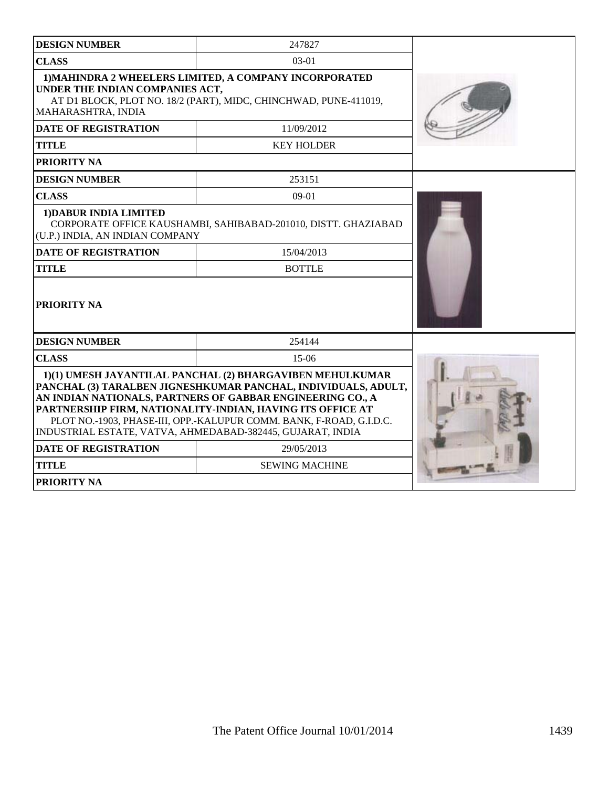| <b>DESIGN NUMBER</b>                                                                                                                                                                                                                                                                                                                                                                         | 247827                                                         |  |
|----------------------------------------------------------------------------------------------------------------------------------------------------------------------------------------------------------------------------------------------------------------------------------------------------------------------------------------------------------------------------------------------|----------------------------------------------------------------|--|
| <b>CLASS</b>                                                                                                                                                                                                                                                                                                                                                                                 | 03-01                                                          |  |
| 1) MAHINDRA 2 WHEELERS LIMITED, A COMPANY INCORPORATED<br>UNDER THE INDIAN COMPANIES ACT,<br>AT D1 BLOCK, PLOT NO. 18/2 (PART), MIDC, CHINCHWAD, PUNE-411019,<br>MAHARASHTRA, INDIA<br><b>DATE OF REGISTRATION</b>                                                                                                                                                                           |                                                                |  |
| <b>TITLE</b>                                                                                                                                                                                                                                                                                                                                                                                 | 11/09/2012<br><b>KEY HOLDER</b>                                |  |
| PRIORITY NA                                                                                                                                                                                                                                                                                                                                                                                  |                                                                |  |
| <b>DESIGN NUMBER</b>                                                                                                                                                                                                                                                                                                                                                                         | 253151                                                         |  |
| <b>CLASS</b>                                                                                                                                                                                                                                                                                                                                                                                 | $09-01$                                                        |  |
| 1) DABUR INDIA LIMITED<br>(U.P.) INDIA, AN INDIAN COMPANY                                                                                                                                                                                                                                                                                                                                    | CORPORATE OFFICE KAUSHAMBI, SAHIBABAD-201010, DISTT. GHAZIABAD |  |
| <b>DATE OF REGISTRATION</b>                                                                                                                                                                                                                                                                                                                                                                  | 15/04/2013                                                     |  |
| <b>BOTTLE</b><br><b>TITLE</b>                                                                                                                                                                                                                                                                                                                                                                |                                                                |  |
| PRIORITY NA                                                                                                                                                                                                                                                                                                                                                                                  |                                                                |  |
| <b>DESIGN NUMBER</b>                                                                                                                                                                                                                                                                                                                                                                         | 254144                                                         |  |
| <b>CLASS</b>                                                                                                                                                                                                                                                                                                                                                                                 | $15-06$                                                        |  |
| 1)(1) UMESH JAYANTILAL PANCHAL (2) BHARGAVIBEN MEHULKUMAR<br>PANCHAL (3) TARALBEN JIGNESHKUMAR PANCHAL, INDIVIDUALS, ADULT,<br>AN INDIAN NATIONALS, PARTNERS OF GABBAR ENGINEERING CO., A<br>PARTNERSHIP FIRM, NATIONALITY-INDIAN, HAVING ITS OFFICE AT<br>PLOT NO.-1903, PHASE-III, OPP.-KALUPUR COMM. BANK, F-ROAD, G.I.D.C.<br>INDUSTRIAL ESTATE, VATVA, AHMEDABAD-382445, GUJARAT, INDIA |                                                                |  |
| <b>DATE OF REGISTRATION</b>                                                                                                                                                                                                                                                                                                                                                                  | 29/05/2013                                                     |  |
| <b>TITLE</b>                                                                                                                                                                                                                                                                                                                                                                                 | <b>SEWING MACHINE</b>                                          |  |
| <b>PRIORITY NA</b>                                                                                                                                                                                                                                                                                                                                                                           |                                                                |  |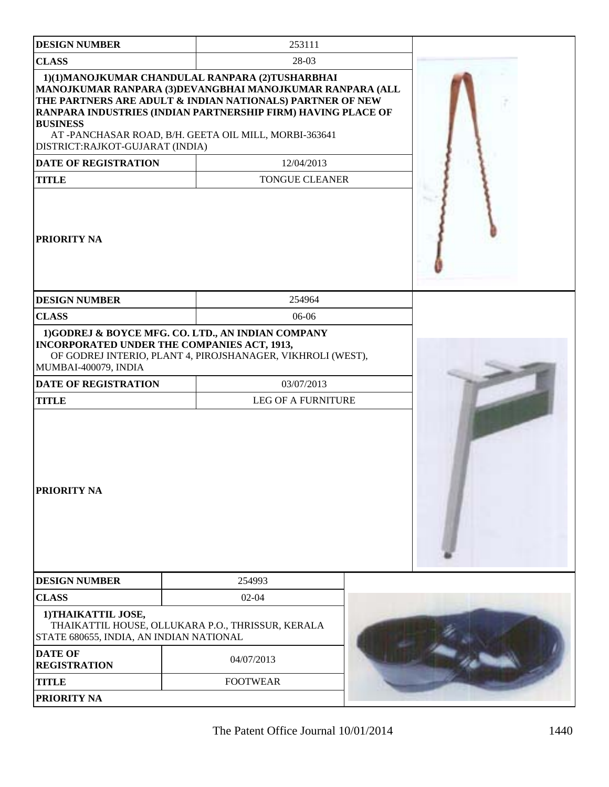| <b>DESIGN NUMBER</b>                                                                      | 253111                                                                                                                                                                                                                                                                                            |  |
|-------------------------------------------------------------------------------------------|---------------------------------------------------------------------------------------------------------------------------------------------------------------------------------------------------------------------------------------------------------------------------------------------------|--|
| <b>CLASS</b>                                                                              | 28-03                                                                                                                                                                                                                                                                                             |  |
| <b>BUSINESS</b><br>DISTRICT:RAJKOT-GUJARAT (INDIA)                                        | 1)(1)MANOJKUMAR CHANDULAL RANPARA (2)TUSHARBHAI<br>MANOJKUMAR RANPARA (3)DEVANGBHAI MANOJKUMAR RANPARA (ALL<br>THE PARTNERS ARE ADULT & INDIAN NATIONALS) PARTNER OF NEW<br>RANPARA INDUSTRIES (INDIAN PARTNERSHIP FIRM) HAVING PLACE OF<br>AT -PANCHASAR ROAD, B/H. GEETA OIL MILL, MORBI-363641 |  |
| <b>DATE OF REGISTRATION</b>                                                               | 12/04/2013                                                                                                                                                                                                                                                                                        |  |
| <b>TITLE</b>                                                                              | <b>TONGUE CLEANER</b>                                                                                                                                                                                                                                                                             |  |
| <b>PRIORITY NA</b>                                                                        |                                                                                                                                                                                                                                                                                                   |  |
| <b>DESIGN NUMBER</b>                                                                      | 254964                                                                                                                                                                                                                                                                                            |  |
| <b>CLASS</b>                                                                              | $06-06$                                                                                                                                                                                                                                                                                           |  |
| MUMBAI-400079, INDIA<br><b>DATE OF REGISTRATION</b><br><b>TITLE</b><br><b>PRIORITY NA</b> | 1)GODREJ & BOYCE MFG. CO. LTD., AN INDIAN COMPANY<br><b>INCORPORATED UNDER THE COMPANIES ACT, 1913,</b><br>OF GODREJ INTERIO, PLANT 4, PIROJSHANAGER, VIKHROLI (WEST),<br>03/07/2013<br><b>LEG OF A FURNITURE</b>                                                                                 |  |
| <b>DESIGN NUMBER</b>                                                                      | 254993                                                                                                                                                                                                                                                                                            |  |
| <b>CLASS</b>                                                                              | $02 - 04$                                                                                                                                                                                                                                                                                         |  |
| 1) THAIKATTIL JOSE,<br>STATE 680655, INDIA, AN INDIAN NATIONAL                            | THAIKATTIL HOUSE, OLLUKARA P.O., THRISSUR, KERALA                                                                                                                                                                                                                                                 |  |
| <b>DATE OF</b><br><b>REGISTRATION</b>                                                     | 04/07/2013                                                                                                                                                                                                                                                                                        |  |
| <b>TITLE</b>                                                                              | <b>FOOTWEAR</b>                                                                                                                                                                                                                                                                                   |  |
| PRIORITY NA                                                                               |                                                                                                                                                                                                                                                                                                   |  |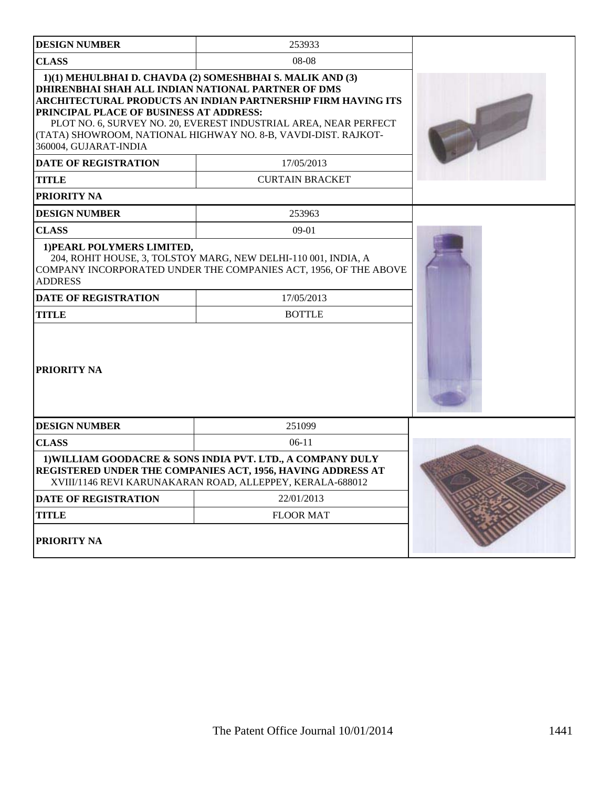| <b>DESIGN NUMBER</b>                                                                                                                                                               | 253933                                                                                                                                                                                                                                                          |  |
|------------------------------------------------------------------------------------------------------------------------------------------------------------------------------------|-----------------------------------------------------------------------------------------------------------------------------------------------------------------------------------------------------------------------------------------------------------------|--|
| <b>CLASS</b>                                                                                                                                                                       | 08-08                                                                                                                                                                                                                                                           |  |
| DHIRENBHAI SHAH ALL INDIAN NATIONAL PARTNER OF DMS<br>PRINCIPAL PLACE OF BUSINESS AT ADDRESS:<br>360004, GUJARAT-INDIA                                                             | 1)(1) MEHULBHAI D. CHAVDA (2) SOMESHBHAI S. MALIK AND (3)<br>ARCHITECTURAL PRODUCTS AN INDIAN PARTNERSHIP FIRM HAVING ITS<br>PLOT NO. 6, SURVEY NO. 20, EVEREST INDUSTRIAL AREA, NEAR PERFECT<br>(TATA) SHOWROOM, NATIONAL HIGHWAY NO. 8-B, VAVDI-DIST. RAJKOT- |  |
| <b>DATE OF REGISTRATION</b>                                                                                                                                                        | 17/05/2013                                                                                                                                                                                                                                                      |  |
| <b>TITLE</b>                                                                                                                                                                       | <b>CURTAIN BRACKET</b>                                                                                                                                                                                                                                          |  |
| <b>PRIORITY NA</b>                                                                                                                                                                 |                                                                                                                                                                                                                                                                 |  |
| <b>DESIGN NUMBER</b>                                                                                                                                                               | 253963                                                                                                                                                                                                                                                          |  |
| <b>CLASS</b>                                                                                                                                                                       | $09-01$                                                                                                                                                                                                                                                         |  |
| 1) PEARL POLYMERS LIMITED,<br>204, ROHIT HOUSE, 3, TOLSTOY MARG, NEW DELHI-110 001, INDIA, A<br>COMPANY INCORPORATED UNDER THE COMPANIES ACT, 1956, OF THE ABOVE<br><b>ADDRESS</b> |                                                                                                                                                                                                                                                                 |  |
| <b>DATE OF REGISTRATION</b>                                                                                                                                                        | 17/05/2013                                                                                                                                                                                                                                                      |  |
| <b>TITLE</b>                                                                                                                                                                       | <b>BOTTLE</b>                                                                                                                                                                                                                                                   |  |
| <b>PRIORITY NA</b>                                                                                                                                                                 |                                                                                                                                                                                                                                                                 |  |
| <b>DESIGN NUMBER</b>                                                                                                                                                               | 251099                                                                                                                                                                                                                                                          |  |
| <b>CLASS</b>                                                                                                                                                                       | $06-11$                                                                                                                                                                                                                                                         |  |
|                                                                                                                                                                                    | 1) WILLIAM GOODACRE & SONS INDIA PVT. LTD., A COMPANY DULY<br><b>REGISTERED UNDER THE COMPANIES ACT, 1956, HAVING ADDRESS AT</b><br>XVIII/1146 REVI KARUNAKARAN ROAD, ALLEPPEY, KERALA-688012                                                                   |  |
| <b>DATE OF REGISTRATION</b>                                                                                                                                                        | 22/01/2013                                                                                                                                                                                                                                                      |  |
| <b>TITLE</b>                                                                                                                                                                       | <b>FLOOR MAT</b>                                                                                                                                                                                                                                                |  |
| PRIORITY NA                                                                                                                                                                        |                                                                                                                                                                                                                                                                 |  |

 $\overline{\phantom{a}}$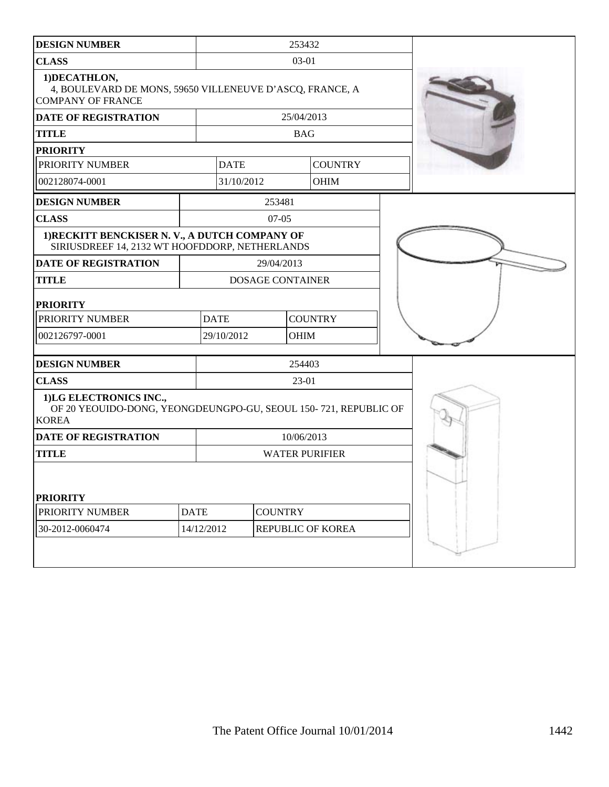| <b>DESIGN NUMBER</b>                                                                                      |             | 253432                        |                         |            |                   |  |  |
|-----------------------------------------------------------------------------------------------------------|-------------|-------------------------------|-------------------------|------------|-------------------|--|--|
| <b>CLASS</b>                                                                                              |             | 03-01                         |                         |            |                   |  |  |
| 1) DECATHLON,<br>4, BOULEVARD DE MONS, 59650 VILLENEUVE D'ASCQ, FRANCE, A<br><b>COMPANY OF FRANCE</b>     |             |                               |                         |            |                   |  |  |
| <b>DATE OF REGISTRATION</b>                                                                               |             |                               |                         | 25/04/2013 |                   |  |  |
| <b>TITLE</b>                                                                                              |             |                               |                         | <b>BAG</b> |                   |  |  |
| <b>PRIORITY</b>                                                                                           |             |                               |                         |            |                   |  |  |
| PRIORITY NUMBER                                                                                           |             | <b>DATE</b>                   |                         |            | <b>COUNTRY</b>    |  |  |
| 002128074-0001                                                                                            |             | 31/10/2012                    |                         |            | <b>OHIM</b>       |  |  |
| <b>DESIGN NUMBER</b>                                                                                      |             |                               | 253481                  |            |                   |  |  |
| <b>CLASS</b>                                                                                              |             |                               | $07-05$                 |            |                   |  |  |
| 1) RECKITT BENCKISER N. V., A DUTCH COMPANY OF<br>SIRIUSDREEF 14, 2132 WT HOOFDDORP, NETHERLANDS          |             |                               |                         |            |                   |  |  |
| <b>DATE OF REGISTRATION</b>                                                                               |             |                               | 29/04/2013              |            |                   |  |  |
| <b>TITLE</b>                                                                                              |             |                               | <b>DOSAGE CONTAINER</b> |            |                   |  |  |
| <b>PRIORITY</b>                                                                                           |             |                               |                         |            |                   |  |  |
| PRIORITY NUMBER                                                                                           |             | <b>DATE</b><br><b>COUNTRY</b> |                         |            |                   |  |  |
| 002126797-0001                                                                                            |             | 29/10/2012<br><b>OHIM</b>     |                         |            |                   |  |  |
| <b>DESIGN NUMBER</b>                                                                                      |             |                               |                         | 254403     |                   |  |  |
| <b>CLASS</b>                                                                                              |             |                               |                         | 23-01      |                   |  |  |
| 1)LG ELECTRONICS INC.,<br>OF 20 YEOUIDO-DONG, YEONGDEUNGPO-GU, SEOUL 150-721, REPUBLIC OF<br><b>KOREA</b> |             |                               |                         |            |                   |  |  |
| <b>DATE OF REGISTRATION</b>                                                                               |             | 10/06/2013                    |                         |            |                   |  |  |
| <b>TITLE</b>                                                                                              |             | <b>WATER PURIFIER</b>         |                         |            |                   |  |  |
| <b>PRIORITY</b>                                                                                           |             |                               |                         |            |                   |  |  |
| PRIORITY NUMBER                                                                                           | <b>DATE</b> | <b>COUNTRY</b>                |                         |            |                   |  |  |
| 30-2012-0060474                                                                                           | 14/12/2012  |                               |                         |            | REPUBLIC OF KOREA |  |  |
|                                                                                                           |             |                               |                         |            |                   |  |  |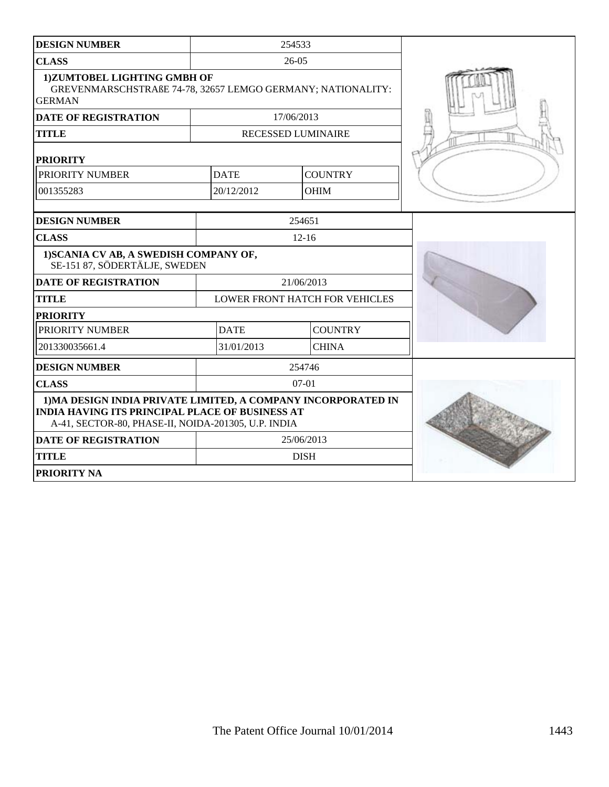| <b>DESIGN NUMBER</b>                                                                                                                                                           |             | 254533                                |  |
|--------------------------------------------------------------------------------------------------------------------------------------------------------------------------------|-------------|---------------------------------------|--|
| <b>CLASS</b>                                                                                                                                                                   |             | $26-05$                               |  |
| 1)ZUMTOBEL LIGHTING GMBH OF<br>GREVENMARSCHSTRAßE 74-78, 32657 LEMGO GERMANY; NATIONALITY:<br><b>GERMAN</b>                                                                    |             |                                       |  |
| <b>DATE OF REGISTRATION</b>                                                                                                                                                    |             | 17/06/2013                            |  |
| <b>TITLE</b>                                                                                                                                                                   |             | <b>RECESSED LUMINAIRE</b>             |  |
| <b>PRIORITY</b>                                                                                                                                                                |             |                                       |  |
| PRIORITY NUMBER                                                                                                                                                                | <b>DATE</b> | <b>COUNTRY</b>                        |  |
| 001355283                                                                                                                                                                      | 20/12/2012  | <b>OHIM</b>                           |  |
| <b>DESIGN NUMBER</b>                                                                                                                                                           |             | 254651                                |  |
| <b>CLASS</b>                                                                                                                                                                   |             | $12 - 16$                             |  |
| 1) SCANIA CV AB, A SWEDISH COMPANY OF,<br>SE-151 87, SÖDERTÄLJE, SWEDEN                                                                                                        |             |                                       |  |
| <b>DATE OF REGISTRATION</b>                                                                                                                                                    |             | 21/06/2013                            |  |
| <b>TITLE</b>                                                                                                                                                                   |             | <b>LOWER FRONT HATCH FOR VEHICLES</b> |  |
| <b>PRIORITY</b>                                                                                                                                                                |             |                                       |  |
| PRIORITY NUMBER                                                                                                                                                                | <b>DATE</b> | <b>COUNTRY</b>                        |  |
| 201330035661.4                                                                                                                                                                 | 31/01/2013  | <b>CHINA</b>                          |  |
| <b>DESIGN NUMBER</b>                                                                                                                                                           |             | 254746                                |  |
| <b>CLASS</b>                                                                                                                                                                   |             | $07-01$                               |  |
| 1) MA DESIGN INDIA PRIVATE LIMITED, A COMPANY INCORPORATED IN<br><b>INDIA HAVING ITS PRINCIPAL PLACE OF BUSINESS AT</b><br>A-41, SECTOR-80, PHASE-II, NOIDA-201305, U.P. INDIA |             |                                       |  |
| <b>DATE OF REGISTRATION</b>                                                                                                                                                    |             | 25/06/2013                            |  |
| <b>TITLE</b>                                                                                                                                                                   |             | <b>DISH</b>                           |  |
| <b>PRIORITY NA</b>                                                                                                                                                             |             |                                       |  |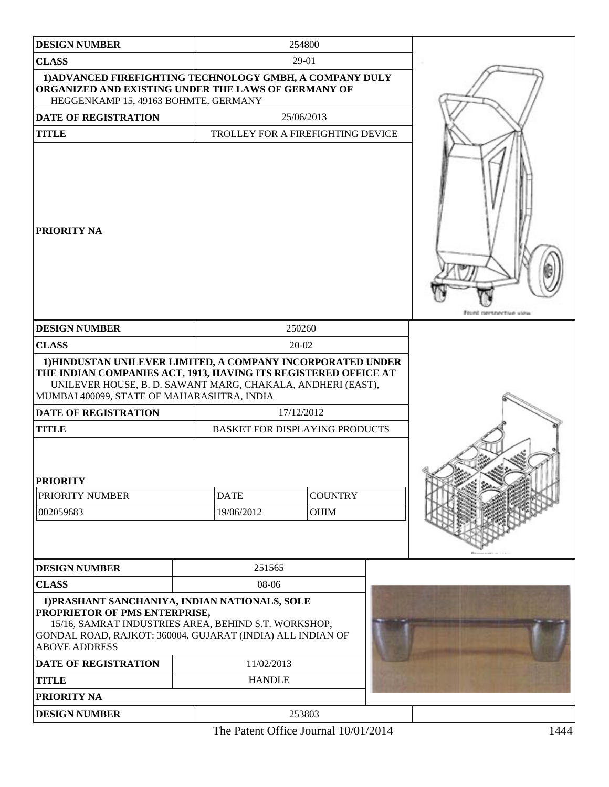| <b>DESIGN NUMBER</b>                                                                                                                                                                                                                                                       |                                       | 254800         |  |                        |
|----------------------------------------------------------------------------------------------------------------------------------------------------------------------------------------------------------------------------------------------------------------------------|---------------------------------------|----------------|--|------------------------|
| <b>CLASS</b>                                                                                                                                                                                                                                                               |                                       | 29-01          |  |                        |
| 1) ADVANCED FIREFIGHTING TECHNOLOGY GMBH, A COMPANY DULY<br>ORGANIZED AND EXISTING UNDER THE LAWS OF GERMANY OF<br>HEGGENKAMP 15, 49163 BOHMTE, GERMANY                                                                                                                    |                                       |                |  |                        |
| DATE OF REGISTRATION                                                                                                                                                                                                                                                       |                                       | 25/06/2013     |  |                        |
| <b>TITLE</b>                                                                                                                                                                                                                                                               | TROLLEY FOR A FIREFIGHTING DEVICE     |                |  |                        |
| PRIORITY NA                                                                                                                                                                                                                                                                |                                       |                |  | Front nersnective view |
| <b>DESIGN NUMBER</b>                                                                                                                                                                                                                                                       |                                       | 250260         |  |                        |
| <b>CLASS</b>                                                                                                                                                                                                                                                               |                                       | 20-02          |  |                        |
| 1) HINDUSTAN UNILEVER LIMITED, A COMPANY INCORPORATED UNDER<br>THE INDIAN COMPANIES ACT, 1913, HAVING ITS REGISTERED OFFICE AT<br>UNILEVER HOUSE, B. D. SAWANT MARG, CHAKALA, ANDHERI (EAST),<br>MUMBAI 400099, STATE OF MAHARASHTRA, INDIA<br><b>DATE OF REGISTRATION</b> |                                       | 17/12/2012     |  |                        |
| <b>TITLE</b>                                                                                                                                                                                                                                                               | <b>BASKET FOR DISPLAYING PRODUCTS</b> |                |  |                        |
| <b>PRIORITY</b>                                                                                                                                                                                                                                                            |                                       |                |  |                        |
| PRIORITY NUMBER                                                                                                                                                                                                                                                            | <b>DATE</b>                           | <b>COUNTRY</b> |  |                        |
| 002059683                                                                                                                                                                                                                                                                  | 19/06/2012                            | <b>OHIM</b>    |  |                        |
|                                                                                                                                                                                                                                                                            |                                       |                |  |                        |
| <b>DESIGN NUMBER</b>                                                                                                                                                                                                                                                       | 251565                                |                |  |                        |
| <b>CLASS</b>                                                                                                                                                                                                                                                               | 08-06                                 |                |  |                        |
| 1) PRASHANT SANCHANIYA, INDIAN NATIONALS, SOLE<br>PROPRIETOR OF PMS ENTERPRISE,<br>15/16, SAMRAT INDUSTRIES AREA, BEHIND S.T. WORKSHOP,<br>GONDAL ROAD, RAJKOT: 360004. GUJARAT (INDIA) ALL INDIAN OF<br><b>ABOVE ADDRESS</b>                                              |                                       |                |  |                        |
| <b>DATE OF REGISTRATION</b>                                                                                                                                                                                                                                                | 11/02/2013                            |                |  |                        |
| <b>TITLE</b>                                                                                                                                                                                                                                                               | <b>HANDLE</b>                         |                |  |                        |
| PRIORITY NA                                                                                                                                                                                                                                                                |                                       |                |  |                        |
| <b>DESIGN NUMBER</b>                                                                                                                                                                                                                                                       |                                       | 253803         |  |                        |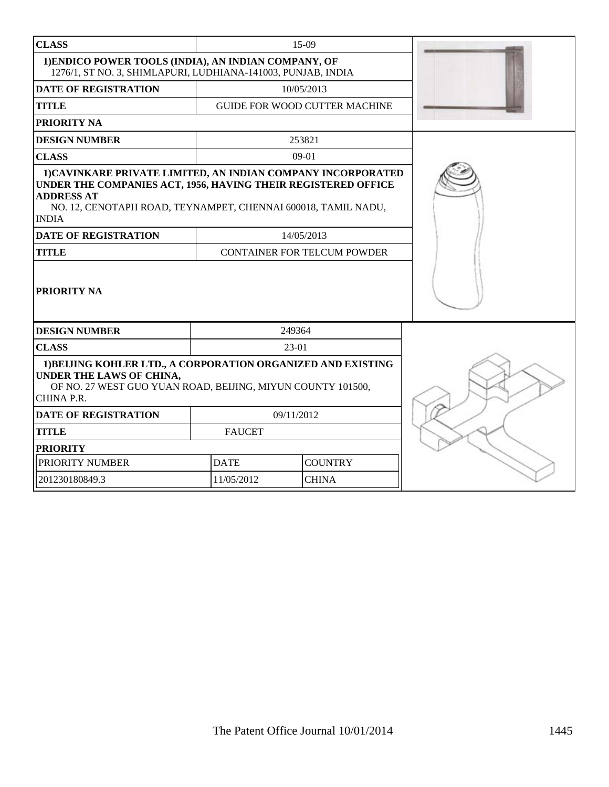| <b>CLASS</b>                                                                                                                                                                                                                        | $15-09$                       |            |                                      |  |
|-------------------------------------------------------------------------------------------------------------------------------------------------------------------------------------------------------------------------------------|-------------------------------|------------|--------------------------------------|--|
| 1) ENDICO POWER TOOLS (INDIA), AN INDIAN COMPANY, OF<br>1276/1, ST NO. 3, SHIMLAPURI, LUDHIANA-141003, PUNJAB, INDIA                                                                                                                |                               |            |                                      |  |
| <b>DATE OF REGISTRATION</b>                                                                                                                                                                                                         |                               |            | 10/05/2013                           |  |
| <b>TITLE</b>                                                                                                                                                                                                                        |                               |            | <b>GUIDE FOR WOOD CUTTER MACHINE</b> |  |
| PRIORITY NA                                                                                                                                                                                                                         |                               |            |                                      |  |
| <b>DESIGN NUMBER</b>                                                                                                                                                                                                                |                               |            | 253821                               |  |
| <b>CLASS</b>                                                                                                                                                                                                                        |                               |            | $09-01$                              |  |
| 1) CAVINKARE PRIVATE LIMITED, AN INDIAN COMPANY INCORPORATED<br>UNDER THE COMPANIES ACT, 1956, HAVING THEIR REGISTERED OFFICE<br><b>ADDRESS AT</b><br>NO. 12, CENOTAPH ROAD, TEYNAMPET, CHENNAI 600018, TAMIL NADU,<br><b>INDIA</b> |                               |            |                                      |  |
| <b>DATE OF REGISTRATION</b>                                                                                                                                                                                                         |                               |            | 14/05/2013                           |  |
| <b>TITLE</b>                                                                                                                                                                                                                        |                               |            | <b>CONTAINER FOR TELCUM POWDER</b>   |  |
| PRIORITY NA                                                                                                                                                                                                                         |                               |            |                                      |  |
| <b>DESIGN NUMBER</b>                                                                                                                                                                                                                |                               | 249364     |                                      |  |
| <b>CLASS</b>                                                                                                                                                                                                                        |                               | 23-01      |                                      |  |
| 1) BEIJING KOHLER LTD., A CORPORATION ORGANIZED AND EXISTING<br>UNDER THE LAWS OF CHINA,<br>OF NO. 27 WEST GUO YUAN ROAD, BEIJING, MIYUN COUNTY 101500,<br>CHINA P.R.                                                               |                               |            |                                      |  |
| <b>DATE OF REGISTRATION</b>                                                                                                                                                                                                         |                               | 09/11/2012 |                                      |  |
| <b>TITLE</b>                                                                                                                                                                                                                        | <b>FAUCET</b>                 |            |                                      |  |
| <b>PRIORITY</b>                                                                                                                                                                                                                     |                               |            |                                      |  |
| PRIORITY NUMBER                                                                                                                                                                                                                     | <b>DATE</b><br><b>COUNTRY</b> |            |                                      |  |
| 201230180849.3                                                                                                                                                                                                                      | 11/05/2012<br><b>CHINA</b>    |            |                                      |  |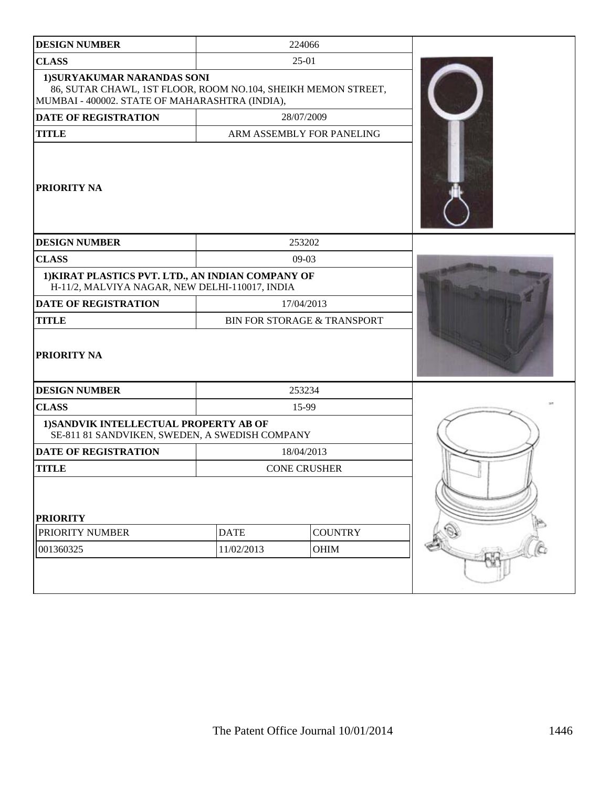| <b>DESIGN NUMBER</b>                                                                                                                           |             | 224066                                 |  |
|------------------------------------------------------------------------------------------------------------------------------------------------|-------------|----------------------------------------|--|
| <b>CLASS</b>                                                                                                                                   |             | $25-01$                                |  |
| 1) SURYAKUMAR NARANDAS SONI<br>86, SUTAR CHAWL, 1ST FLOOR, ROOM NO.104, SHEIKH MEMON STREET,<br>MUMBAI - 400002. STATE OF MAHARASHTRA (INDIA), |             |                                        |  |
| <b>DATE OF REGISTRATION</b>                                                                                                                    |             | 28/07/2009                             |  |
| <b>TITLE</b>                                                                                                                                   |             | ARM ASSEMBLY FOR PANELING              |  |
| PRIORITY NA                                                                                                                                    |             |                                        |  |
| <b>DESIGN NUMBER</b>                                                                                                                           |             | 253202                                 |  |
| <b>CLASS</b>                                                                                                                                   |             | $09-03$                                |  |
| 1) KIRAT PLASTICS PVT. LTD., AN INDIAN COMPANY OF<br>H-11/2, MALVIYA NAGAR, NEW DELHI-110017, INDIA                                            |             |                                        |  |
| <b>DATE OF REGISTRATION</b>                                                                                                                    |             | 17/04/2013                             |  |
| <b>TITLE</b>                                                                                                                                   |             | <b>BIN FOR STORAGE &amp; TRANSPORT</b> |  |
| <b>PRIORITY NA</b>                                                                                                                             |             |                                        |  |
| <b>DESIGN NUMBER</b>                                                                                                                           |             | 253234                                 |  |
| <b>CLASS</b>                                                                                                                                   |             | 15-99                                  |  |
| 1) SANDVIK INTELLECTUAL PROPERTY AB OF<br>SE-811 81 SANDVIKEN, SWEDEN, A SWEDISH COMPANY                                                       |             |                                        |  |
| <b>DATE OF REGISTRATION</b>                                                                                                                    |             | 18/04/2013                             |  |
| <b>TITLE</b>                                                                                                                                   |             | <b>CONE CRUSHER</b>                    |  |
| <b>PRIORITY</b>                                                                                                                                |             |                                        |  |
| PRIORITY NUMBER                                                                                                                                | <b>DATE</b> | <b>COUNTRY</b>                         |  |
| 001360325                                                                                                                                      | 11/02/2013  | OHIM                                   |  |
|                                                                                                                                                |             |                                        |  |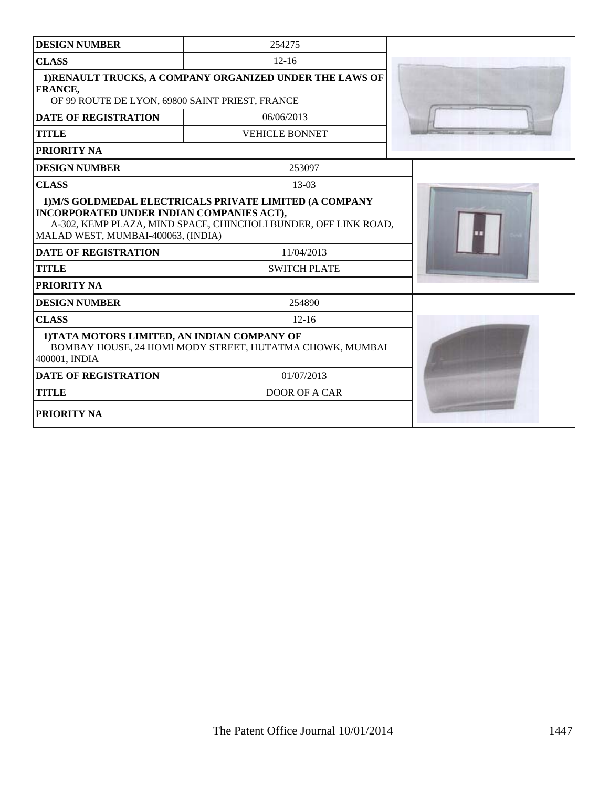| <b>DESIGN NUMBER</b>                                                                                                           | 254275                                                                                               |  |
|--------------------------------------------------------------------------------------------------------------------------------|------------------------------------------------------------------------------------------------------|--|
| <b>CLASS</b>                                                                                                                   | $12 - 16$                                                                                            |  |
| <b>FRANCE,</b><br>OF 99 ROUTE DE LYON, 69800 SAINT PRIEST, FRANCE                                                              | 1) RENAULT TRUCKS, A COMPANY ORGANIZED UNDER THE LAWS OF                                             |  |
| <b>DATE OF REGISTRATION</b>                                                                                                    | 06/06/2013                                                                                           |  |
| <b>TITLE</b>                                                                                                                   | <b>VEHICLE BONNET</b>                                                                                |  |
| PRIORITY NA                                                                                                                    |                                                                                                      |  |
| <b>DESIGN NUMBER</b>                                                                                                           | 253097                                                                                               |  |
| <b>CLASS</b>                                                                                                                   | $13-03$                                                                                              |  |
| INCORPORATED UNDER INDIAN COMPANIES ACT),<br>MALAD WEST, MUMBAI-400063, (INDIA)<br><b>DATE OF REGISTRATION</b><br><b>TITLE</b> | A-302, KEMP PLAZA, MIND SPACE, CHINCHOLI BUNDER, OFF LINK ROAD,<br>11/04/2013<br><b>SWITCH PLATE</b> |  |
| PRIORITY NA                                                                                                                    |                                                                                                      |  |
| <b>DESIGN NUMBER</b>                                                                                                           | 254890                                                                                               |  |
| <b>CLASS</b>                                                                                                                   | $12 - 16$                                                                                            |  |
| 1) TATA MOTORS LIMITED, AN INDIAN COMPANY OF<br>400001, INDIA                                                                  | BOMBAY HOUSE, 24 HOMI MODY STREET, HUTATMA CHOWK, MUMBAI                                             |  |
| <b>DATE OF REGISTRATION</b>                                                                                                    | 01/07/2013                                                                                           |  |
| <b>TITLE</b>                                                                                                                   | <b>DOOR OF A CAR</b>                                                                                 |  |
| PRIORITY NA                                                                                                                    |                                                                                                      |  |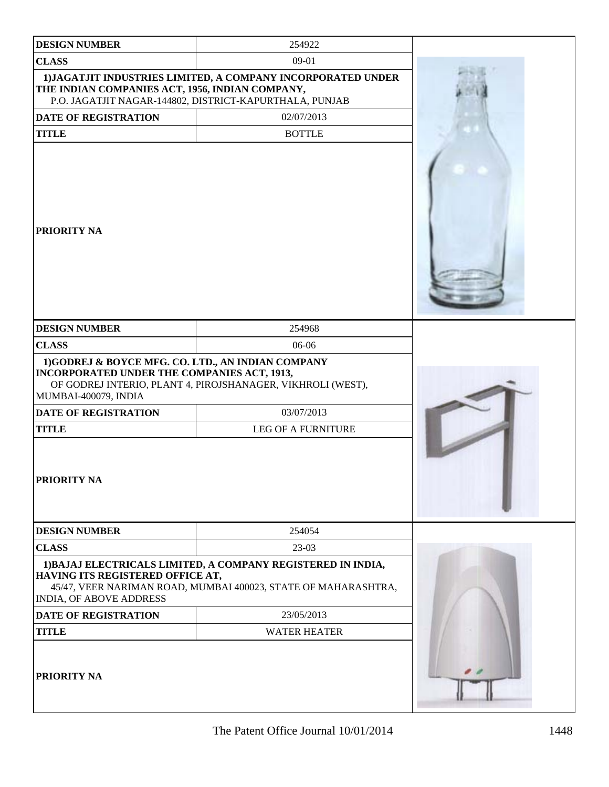| <b>DESIGN NUMBER</b>                                                                                                     | 254922                                                                                                                         |  |
|--------------------------------------------------------------------------------------------------------------------------|--------------------------------------------------------------------------------------------------------------------------------|--|
| <b>CLASS</b>                                                                                                             | $09-01$                                                                                                                        |  |
| THE INDIAN COMPANIES ACT, 1956, INDIAN COMPANY,                                                                          | 1) JAGATJIT INDUSTRIES LIMITED, A COMPANY INCORPORATED UNDER<br>P.O. JAGATJIT NAGAR-144802, DISTRICT-KAPURTHALA, PUNJAB        |  |
| <b>DATE OF REGISTRATION</b>                                                                                              | 02/07/2013                                                                                                                     |  |
| <b>TITLE</b>                                                                                                             | <b>BOTTLE</b>                                                                                                                  |  |
| <b>PRIORITY NA</b>                                                                                                       |                                                                                                                                |  |
| <b>DESIGN NUMBER</b>                                                                                                     | 254968                                                                                                                         |  |
| <b>CLASS</b>                                                                                                             | 06-06                                                                                                                          |  |
| 1)GODREJ & BOYCE MFG. CO. LTD., AN INDIAN COMPANY<br>INCORPORATED UNDER THE COMPANIES ACT, 1913,<br>MUMBAI-400079, INDIA | OF GODREJ INTERIO, PLANT 4, PIROJSHANAGER, VIKHROLI (WEST),                                                                    |  |
| DATE OF REGISTRATION                                                                                                     | 03/07/2013                                                                                                                     |  |
| <b>TITLE</b>                                                                                                             | <b>LEG OF A FURNITURE</b>                                                                                                      |  |
| PRIORITY NA                                                                                                              |                                                                                                                                |  |
| <b>DESIGN NUMBER</b>                                                                                                     | 254054                                                                                                                         |  |
| <b>CLASS</b>                                                                                                             | 23-03                                                                                                                          |  |
| HAVING ITS REGISTERED OFFICE AT,<br><b>INDIA, OF ABOVE ADDRESS</b>                                                       | 1) BAJAJ ELECTRICALS LIMITED, A COMPANY REGISTERED IN INDIA,<br>45/47, VEER NARIMAN ROAD, MUMBAI 400023, STATE OF MAHARASHTRA, |  |
| <b>DATE OF REGISTRATION</b>                                                                                              | 23/05/2013                                                                                                                     |  |
| <b>TITLE</b>                                                                                                             | <b>WATER HEATER</b>                                                                                                            |  |
| <b>PRIORITY NA</b>                                                                                                       |                                                                                                                                |  |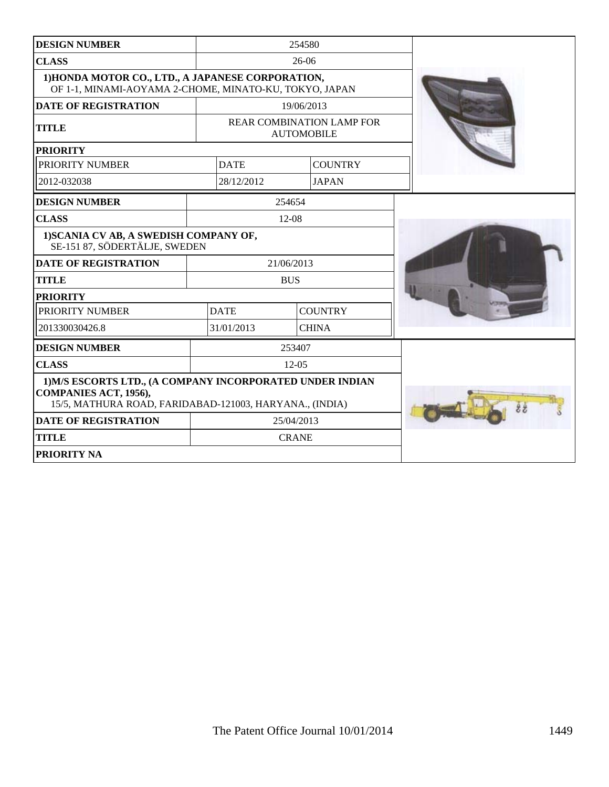| <b>DESIGN NUMBER</b>                                                                                                                          |            |             | 254580                                                |  |
|-----------------------------------------------------------------------------------------------------------------------------------------------|------------|-------------|-------------------------------------------------------|--|
| <b>CLASS</b>                                                                                                                                  | $26-06$    |             |                                                       |  |
| 1) HONDA MOTOR CO., LTD., A JAPANESE CORPORATION,<br>OF 1-1, MINAMI-AOYAMA 2-CHOME, MINATO-KU, TOKYO, JAPAN                                   |            |             |                                                       |  |
| <b>DATE OF REGISTRATION</b>                                                                                                                   |            |             | 19/06/2013                                            |  |
| <b>TITLE</b>                                                                                                                                  |            |             | <b>REAR COMBINATION LAMP FOR</b><br><b>AUTOMOBILE</b> |  |
| <b>PRIORITY</b>                                                                                                                               |            |             |                                                       |  |
| PRIORITY NUMBER                                                                                                                               |            | <b>DATE</b> | <b>COUNTRY</b>                                        |  |
| 2012-032038                                                                                                                                   |            | 28/12/2012  | <b>JAPAN</b>                                          |  |
| <b>DESIGN NUMBER</b>                                                                                                                          |            | 254654      |                                                       |  |
| <b>CLASS</b>                                                                                                                                  |            | $12-08$     |                                                       |  |
| 1) SCANIA CV AB, A SWEDISH COMPANY OF,<br>SE-151 87, SÖDERTÄLJE, SWEDEN                                                                       |            |             |                                                       |  |
| <b>DATE OF REGISTRATION</b>                                                                                                                   |            | 21/06/2013  |                                                       |  |
| <b>TITLE</b>                                                                                                                                  | <b>BUS</b> |             |                                                       |  |
| <b>PRIORITY</b>                                                                                                                               |            |             |                                                       |  |
| PRIORITY NUMBER                                                                                                                               |            | <b>DATE</b> | <b>COUNTRY</b>                                        |  |
| 201330030426.8                                                                                                                                |            | 31/01/2013  | <b>CHINA</b>                                          |  |
| <b>DESIGN NUMBER</b>                                                                                                                          |            | 253407      |                                                       |  |
| <b>CLASS</b>                                                                                                                                  | $12 - 05$  |             |                                                       |  |
| 1) M/S ESCORTS LTD., (A COMPANY INCORPORATED UNDER INDIAN<br>COMPANIES ACT, 1956),<br>15/5, MATHURA ROAD, FARIDABAD-121003, HARYANA., (INDIA) |            |             |                                                       |  |
| <b>DATE OF REGISTRATION</b>                                                                                                                   | 25/04/2013 |             |                                                       |  |
| <b>TITLE</b>                                                                                                                                  |            |             | <b>CRANE</b>                                          |  |
| <b>PRIORITY NA</b>                                                                                                                            |            |             |                                                       |  |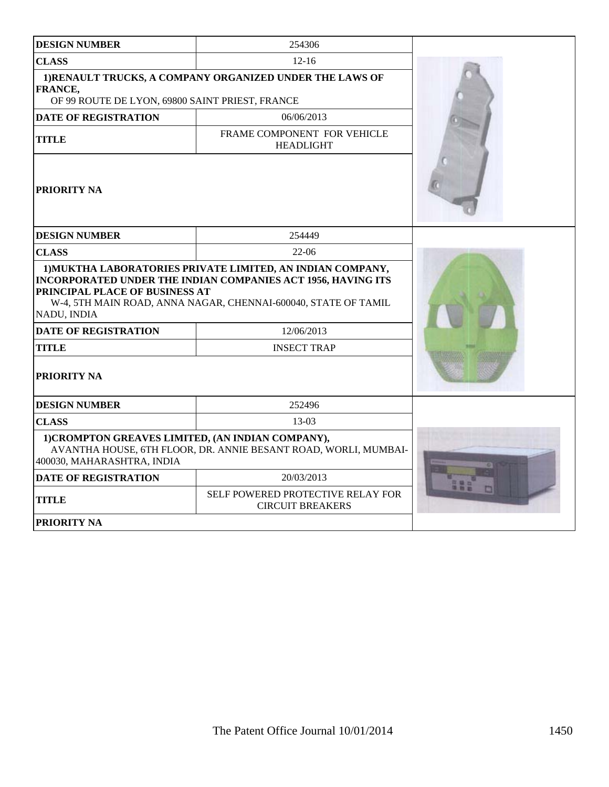| <b>DESIGN NUMBER</b>                                                                                                                                                                                                                          | 254306                                                          |  |  |
|-----------------------------------------------------------------------------------------------------------------------------------------------------------------------------------------------------------------------------------------------|-----------------------------------------------------------------|--|--|
| <b>CLASS</b>                                                                                                                                                                                                                                  | $12 - 16$                                                       |  |  |
| 1)RENAULT TRUCKS, A COMPANY ORGANIZED UNDER THE LAWS OF<br>FRANCE,<br>OF 99 ROUTE DE LYON, 69800 SAINT PRIEST, FRANCE                                                                                                                         |                                                                 |  |  |
| <b>DATE OF REGISTRATION</b>                                                                                                                                                                                                                   | 06/06/2013                                                      |  |  |
| <b>TITLE</b>                                                                                                                                                                                                                                  | FRAME COMPONENT FOR VEHICLE<br><b>HEADLIGHT</b>                 |  |  |
| <b>PRIORITY NA</b>                                                                                                                                                                                                                            |                                                                 |  |  |
| <b>DESIGN NUMBER</b>                                                                                                                                                                                                                          | 254449                                                          |  |  |
| <b>CLASS</b>                                                                                                                                                                                                                                  |                                                                 |  |  |
| 1) MUKTHA LABORATORIES PRIVATE LIMITED, AN INDIAN COMPANY,<br>INCORPORATED UNDER THE INDIAN COMPANIES ACT 1956, HAVING ITS<br>PRINCIPAL PLACE OF BUSINESS AT<br>W-4, 5TH MAIN ROAD, ANNA NAGAR, CHENNAI-600040, STATE OF TAMIL<br>NADU, INDIA |                                                                 |  |  |
| <b>DATE OF REGISTRATION</b>                                                                                                                                                                                                                   | 12/06/2013                                                      |  |  |
| <b>TITLE</b><br><b>INSECT TRAP</b>                                                                                                                                                                                                            |                                                                 |  |  |
| PRIORITY NA                                                                                                                                                                                                                                   |                                                                 |  |  |
| <b>DESIGN NUMBER</b>                                                                                                                                                                                                                          | 252496                                                          |  |  |
| <b>CLASS</b>                                                                                                                                                                                                                                  | $13-03$                                                         |  |  |
| 1) CROMPTON GREAVES LIMITED, (AN INDIAN COMPANY),<br>400030, MAHARASHTRA, INDIA                                                                                                                                                               | AVANTHA HOUSE, 6TH FLOOR, DR. ANNIE BESANT ROAD, WORLI, MUMBAI- |  |  |
| <b>DATE OF REGISTRATION</b>                                                                                                                                                                                                                   | 20/03/2013                                                      |  |  |
| <b>TITLE</b>                                                                                                                                                                                                                                  | SELF POWERED PROTECTIVE RELAY FOR<br><b>CIRCUIT BREAKERS</b>    |  |  |
| <b>PRIORITY NA</b>                                                                                                                                                                                                                            |                                                                 |  |  |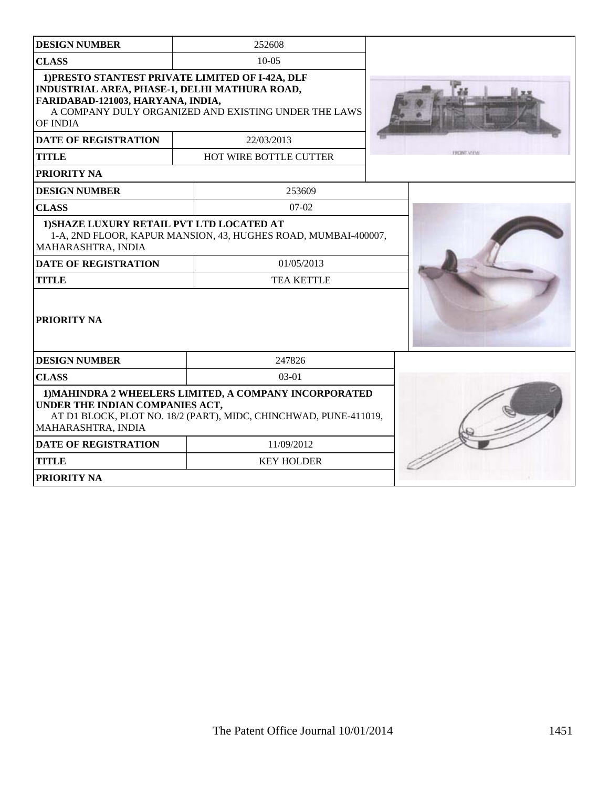| <b>DESIGN NUMBER</b>                                                                                                                                                                | 252608                                                                                                   |  |
|-------------------------------------------------------------------------------------------------------------------------------------------------------------------------------------|----------------------------------------------------------------------------------------------------------|--|
| <b>CLASS</b>                                                                                                                                                                        | $10-0.5$                                                                                                 |  |
| INDUSTRIAL AREA, PHASE-1, DELHI MATHURA ROAD,<br>FARIDABAD-121003, HARYANA, INDIA,<br>OF INDIA                                                                                      | 1) PRESTO STANTEST PRIVATE LIMITED OF I-42A, DLF<br>A COMPANY DULY ORGANIZED AND EXISTING UNDER THE LAWS |  |
| <b>DATE OF REGISTRATION</b>                                                                                                                                                         | 22/03/2013                                                                                               |  |
| <b>TITLE</b>                                                                                                                                                                        | <b>HOT WIRE BOTTLE CUTTER</b>                                                                            |  |
| <b>PRIORITY NA</b>                                                                                                                                                                  |                                                                                                          |  |
| <b>DESIGN NUMBER</b>                                                                                                                                                                | 253609                                                                                                   |  |
| <b>CLASS</b>                                                                                                                                                                        | $07 - 02$                                                                                                |  |
| 1) SHAZE LUXURY RETAIL PVT LTD LOCATED AT<br>MAHARASHTRA, INDIA                                                                                                                     | 1-A, 2ND FLOOR, KAPUR MANSION, 43, HUGHES ROAD, MUMBAI-400007,                                           |  |
| <b>DATE OF REGISTRATION</b>                                                                                                                                                         | 01/05/2013                                                                                               |  |
| <b>TITLE</b><br><b>TEA KETTLE</b>                                                                                                                                                   |                                                                                                          |  |
| <b>PRIORITY NA</b>                                                                                                                                                                  |                                                                                                          |  |
| <b>DESIGN NUMBER</b>                                                                                                                                                                | 247826                                                                                                   |  |
| <b>CLASS</b>                                                                                                                                                                        |                                                                                                          |  |
| 1) MAHINDRA 2 WHEELERS LIMITED, A COMPANY INCORPORATED<br>UNDER THE INDIAN COMPANIES ACT,<br>AT D1 BLOCK, PLOT NO. 18/2 (PART), MIDC, CHINCHWAD, PUNE-411019,<br>MAHARASHTRA, INDIA |                                                                                                          |  |
| <b>DATE OF REGISTRATION</b>                                                                                                                                                         | 11/09/2012                                                                                               |  |
| <b>TITLE</b>                                                                                                                                                                        | <b>KEY HOLDER</b>                                                                                        |  |
| <b>PRIORITY NA</b>                                                                                                                                                                  |                                                                                                          |  |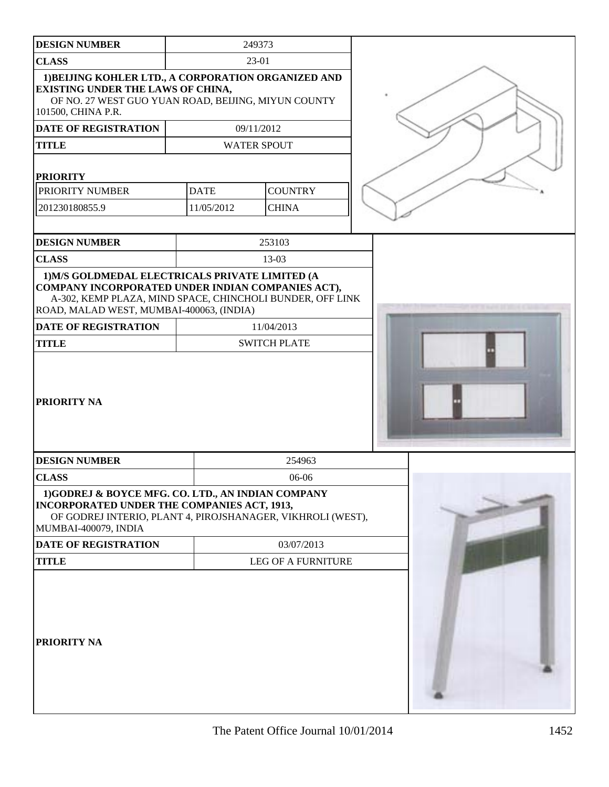| <b>DESIGN NUMBER</b>                                                                                                                                                                                          | 249373      |                                   |  |
|---------------------------------------------------------------------------------------------------------------------------------------------------------------------------------------------------------------|-------------|-----------------------------------|--|
| <b>CLASS</b>                                                                                                                                                                                                  | 23-01       |                                   |  |
| 1) BEIJING KOHLER LTD., A CORPORATION ORGANIZED AND<br><b>EXISTING UNDER THE LAWS OF CHINA,</b><br>OF NO. 27 WEST GUO YUAN ROAD, BEIJING, MIYUN COUNTY<br>101500, CHINA P.R.                                  |             |                                   |  |
| <b>DATE OF REGISTRATION</b>                                                                                                                                                                                   |             | 09/11/2012                        |  |
| <b>TITLE</b>                                                                                                                                                                                                  |             | <b>WATER SPOUT</b>                |  |
| <b>PRIORITY</b>                                                                                                                                                                                               |             |                                   |  |
| PRIORITY NUMBER                                                                                                                                                                                               | <b>DATE</b> | <b>COUNTRY</b>                    |  |
| 201230180855.9                                                                                                                                                                                                | 11/05/2012  | <b>CHINA</b>                      |  |
| <b>DESIGN NUMBER</b>                                                                                                                                                                                          |             | 253103                            |  |
| <b>CLASS</b>                                                                                                                                                                                                  |             | 13-03                             |  |
| 1) M/S GOLDMEDAL ELECTRICALS PRIVATE LIMITED (A<br>COMPANY INCORPORATED UNDER INDIAN COMPANIES ACT),<br>A-302, KEMP PLAZA, MIND SPACE, CHINCHOLI BUNDER, OFF LINK<br>ROAD, MALAD WEST, MUMBAI-400063, (INDIA) |             |                                   |  |
| <b>DATE OF REGISTRATION</b><br><b>TITLE</b>                                                                                                                                                                   |             | 11/04/2013<br><b>SWITCH PLATE</b> |  |
| PRIORITY NA                                                                                                                                                                                                   |             |                                   |  |
| <b>DESIGN NUMBER</b>                                                                                                                                                                                          |             | 254963                            |  |
| <b>CLASS</b>                                                                                                                                                                                                  |             | $06-06$                           |  |
| 1)GODREJ & BOYCE MFG. CO. LTD., AN INDIAN COMPANY<br>INCORPORATED UNDER THE COMPANIES ACT, 1913,<br>OF GODREJ INTERIO, PLANT 4, PIROJSHANAGER, VIKHROLI (WEST),<br>MUMBAI-400079, INDIA                       |             |                                   |  |
| DATE OF REGISTRATION                                                                                                                                                                                          |             | 03/07/2013                        |  |
| <b>TITLE</b>                                                                                                                                                                                                  |             | <b>LEG OF A FURNITURE</b>         |  |
| PRIORITY NA                                                                                                                                                                                                   |             |                                   |  |